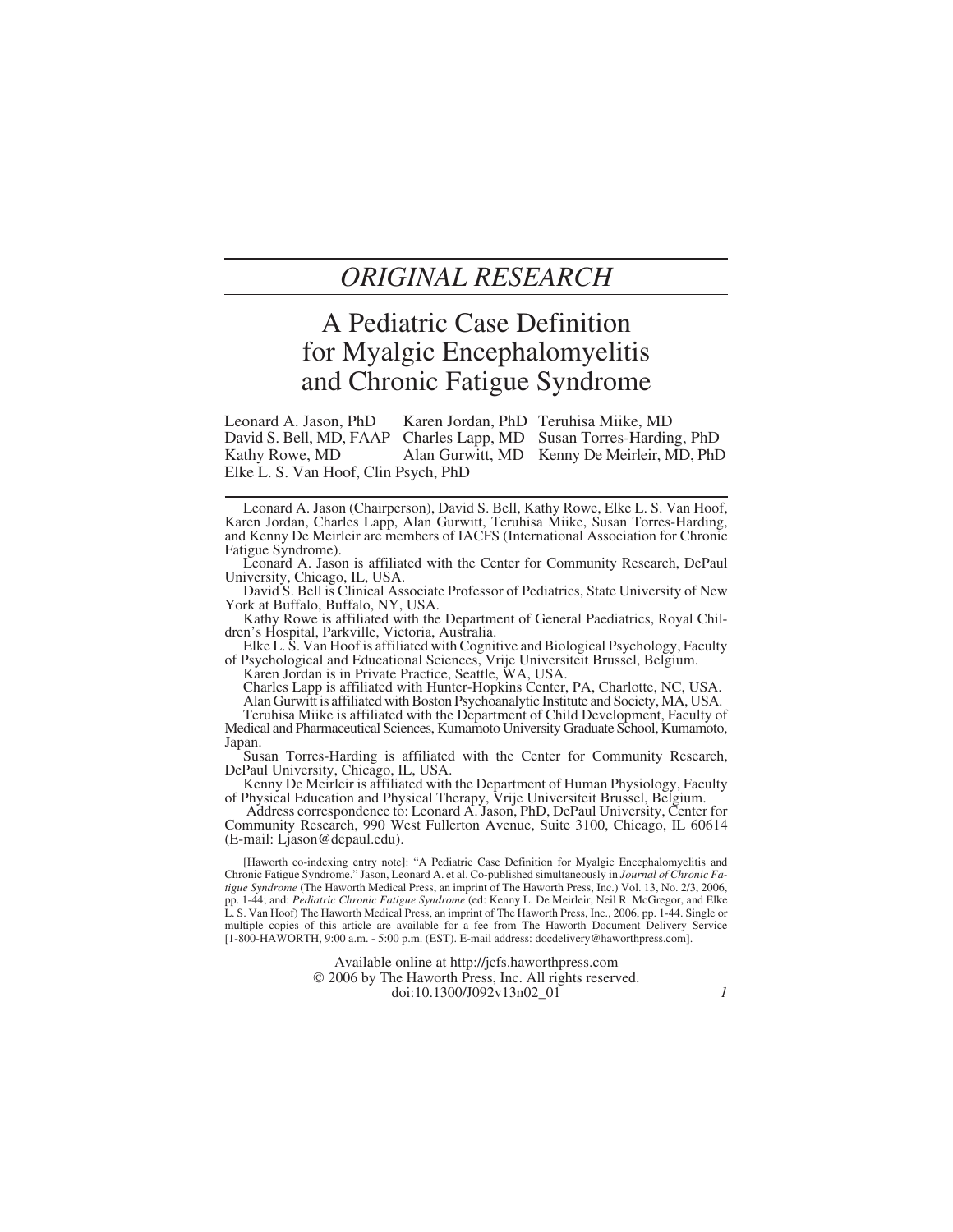# *ORIGINAL RESEARCH*

# A Pediatric Case Definition for Myalgic Encephalomyelitis and Chronic Fatigue Syndrome

Leonard A. Jason, PhD Karen Jordan, PhD Teruhisa Miike, MD David S. Bell, MD, FAAP Charles Lapp, MD Susan Torres-Harding, PhD Kathy Rowe, MD Alan Gurwitt, MD Kenny De Meirleir, MD, PhD Elke L. S. Van Hoof, Clin Psych, PhD

Leonard A. Jason (Chairperson), David S. Bell, Kathy Rowe, Elke L. S. Van Hoof, Karen Jordan, Charles Lapp, Alan Gurwitt, Teruhisa Miike, Susan Torres-Harding, and Kenny De Meirleir are members of IACFS (International Association for Chronic Fatigue Syndrome).

Leonard A. Jason is affiliated with the Center for Community Research, DePaul University, Chicago, IL, USA.

David S. Bell is Clinical Associate Professor of Pediatrics, State University of New York at Buffalo, Buffalo, NY, USA.

Kathy Rowe is affiliated with the Department of General Paediatrics, Royal Children's Hospital, Parkville, Victoria, Australia.

Elke L. S. Van Hoof is affiliated with Cognitive and Biological Psychology, Faculty of Psychological and Educational Sciences, Vrije Universiteit Brussel, Belgium.

Karen Jordan is in Private Practice, Seattle, WA, USA.

Charles Lapp is affiliated with Hunter-Hopkins Center, PA, Charlotte, NC, USA. Alan Gurwitt is affiliated with Boston Psychoanalytic Institute and Society, MA, USA.

Teruhisa Miike is affiliated with the Department of Child Development, Faculty of Medical and Pharmaceutical Sciences, Kumamoto University Graduate School, Kumamoto, Japan.

Susan Torres-Harding is affiliated with the Center for Community Research, DePaul University, Chicago, IL, USA.

Kenny De Meirleir is affiliated with the Department of Human Physiology, Faculty of Physical Education and Physical Therapy, Vrije Universiteit Brussel, Belgium.

Address correspondence to: Leonard A. Jason, PhD, DePaul University, Center for Community Research, 990 West Fullerton Avenue, Suite 3100, Chicago, IL 60614 (E-mail: [Ljason@depaul.edu\).](mailto:Ljason@depaul.edu)

[Haworth co-indexing entry note]: "A Pediatric Case Definition for Myalgic Encephalomyelitis and Chronic Fatigue Syndrome." Jason, Leonard A. et al. Co-published simultaneously in *Journal of Chronic Fatigue Syndrome* (The Haworth Medical Press, an imprint of The Haworth Press, Inc.) Vol. 13, No. 2/3, 2006, pp. 1-44; and: *Pediatric Chronic Fatigue Syndrome* (ed: Kenny L. De Meirleir, Neil R. McGregor, and Elke L. S. Van Hoof) The Haworth Medical Press, an imprint of The Haworth Press, Inc., 2006, pp. 1-44. Single or multiple copies of this article are available for a fee from The Haworth Document Delivery Service [1-800-HAWORTH, 9:00 a.m. - 5:00 p.m. (EST). E-mail address: [docdelivery@haworthpress.com\].](mailto:docdelivery@haworthpress.com)

> Available online at<http://jcfs.haworthpress.com> © 2006 by The Haworth Press, Inc. All rights reserved. doi:10.1300/J092v13n02\_01 *1*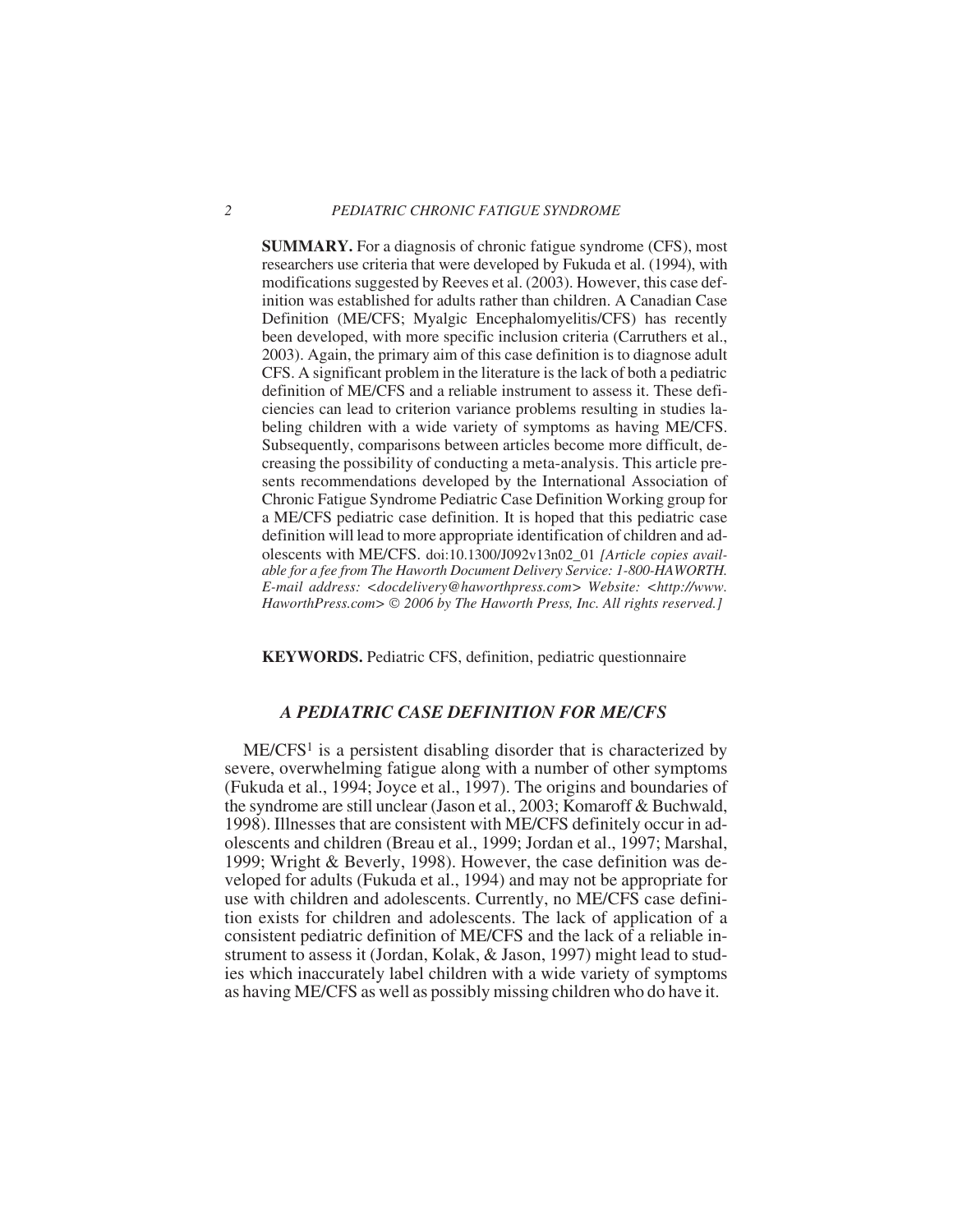**SUMMARY.** For a diagnosis of chronic fatigue syndrome (CFS), most researchers use criteria that were developed by Fukuda et al. (1994), with modifications suggested by Reeves et al. (2003). However, this case definition was established for adults rather than children. A Canadian Case Definition (ME/CFS; Myalgic Encephalomyelitis/CFS) has recently been developed, with more specific inclusion criteria (Carruthers et al., 2003). Again, the primary aim of this case definition is to diagnose adult CFS. A significant problem in the literature is the lack of both a pediatric definition of ME/CFS and a reliable instrument to assess it. These deficiencies can lead to criterion variance problems resulting in studies labeling children with a wide variety of symptoms as having ME/CFS. Subsequently, comparisons between articles become more difficult, decreasing the possibility of conducting a meta-analysis. This article presents recommendations developed by the International Association of Chronic Fatigue Syndrome Pediatric Case Definition Working group for a ME/CFS pediatric case definition. It is hoped that this pediatric case definition will lead to more appropriate identification of children and adolescents with ME/CFS. doi:10.1300/J092v13n02\_01 *[Article copies available for a fee from The Haworth Document Delivery Service: 1-800-HAWORTH. E-mail address: [<docdelivery@haworthpress.com>](mailto:docdelivery@haworthpress.com) Website: [<http://www.](http://www.HaworthPress.com) [HaworthPress.com>](http://www.HaworthPress.com)* © *2006 by The Haworth Press, Inc. All rights reserved.]*

**KEYWORDS.** Pediatric CFS, definition, pediatric questionnaire

# *A PEDIATRIC CASE DEFINITION FOR ME/CFS*

ME/CFS1 is a persistent disabling disorder that is characterized by severe, overwhelming fatigue along with a number of other symptoms (Fukuda et al., 1994; Joyce et al., 1997). The origins and boundaries of the syndrome are still unclear (Jason et al., 2003; Komaroff & Buchwald, 1998). Illnesses that are consistent with ME/CFS definitely occur in adolescents and children (Breau et al., 1999; Jordan et al., 1997; Marshal, 1999; Wright & Beverly, 1998). However, the case definition was developed for adults (Fukuda et al., 1994) and may not be appropriate for use with children and adolescents. Currently, no ME/CFS case definition exists for children and adolescents. The lack of application of a consistent pediatric definition of ME/CFS and the lack of a reliable instrument to assess it (Jordan, Kolak, & Jason, 1997) might lead to studies which inaccurately label children with a wide variety of symptoms as having ME/CFS as well as possibly missing children who do have it.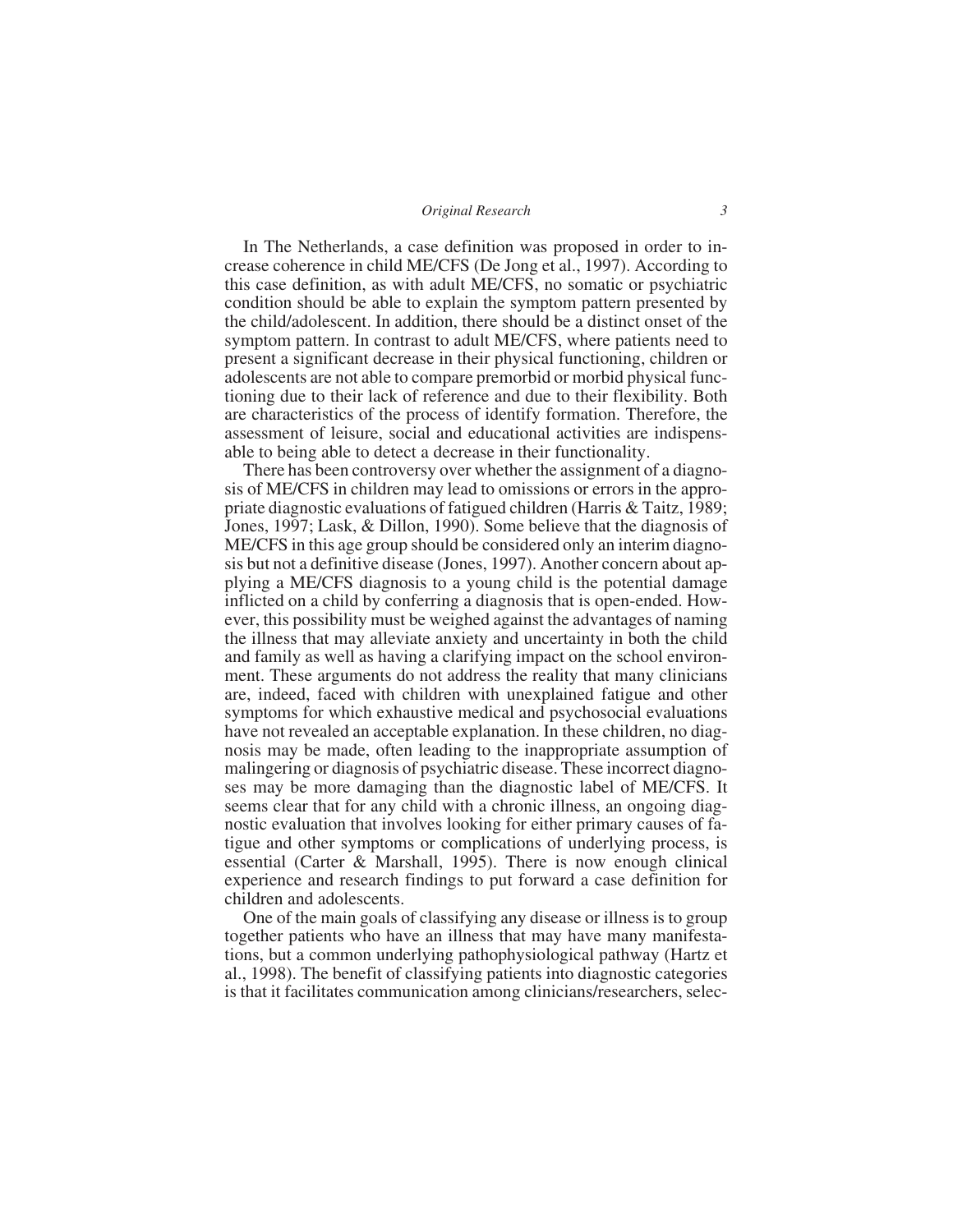In The Netherlands, a case definition was proposed in order to increase coherence in child ME/CFS (De Jong et al., 1997). According to this case definition, as with adult ME/CFS, no somatic or psychiatric condition should be able to explain the symptom pattern presented by the child/adolescent. In addition, there should be a distinct onset of the symptom pattern. In contrast to adult ME/CFS, where patients need to present a significant decrease in their physical functioning, children or adolescents are not able to compare premorbid or morbid physical functioning due to their lack of reference and due to their flexibility. Both are characteristics of the process of identify formation. Therefore, the assessment of leisure, social and educational activities are indispensable to being able to detect a decrease in their functionality.

There has been controversy over whether the assignment of a diagnosis of ME/CFS in children may lead to omissions or errors in the appropriate diagnostic evaluations of fatigued children (Harris & Taitz, 1989; Jones, 1997; Lask, & Dillon, 1990). Some believe that the diagnosis of ME/CFS in this age group should be considered only an interim diagnosis but not a definitive disease (Jones, 1997). Another concern about applying a ME/CFS diagnosis to a young child is the potential damage inflicted on a child by conferring a diagnosis that is open-ended. However, this possibility must be weighed against the advantages of naming the illness that may alleviate anxiety and uncertainty in both the child and family as well as having a clarifying impact on the school environment. These arguments do not address the reality that many clinicians are, indeed, faced with children with unexplained fatigue and other symptoms for which exhaustive medical and psychosocial evaluations have not revealed an acceptable explanation. In these children, no diagnosis may be made, often leading to the inappropriate assumption of malingering or diagnosis of psychiatric disease. These incorrect diagnoses may be more damaging than the diagnostic label of ME/CFS. It seems clear that for any child with a chronic illness, an ongoing diagnostic evaluation that involves looking for either primary causes of fatigue and other symptoms or complications of underlying process, is essential (Carter & Marshall, 1995). There is now enough clinical experience and research findings to put forward a case definition for children and adolescents.

One of the main goals of classifying any disease or illness is to group together patients who have an illness that may have many manifestations, but a common underlying pathophysiological pathway (Hartz et al., 1998). The benefit of classifying patients into diagnostic categories is that it facilitates communication among clinicians/researchers, selec-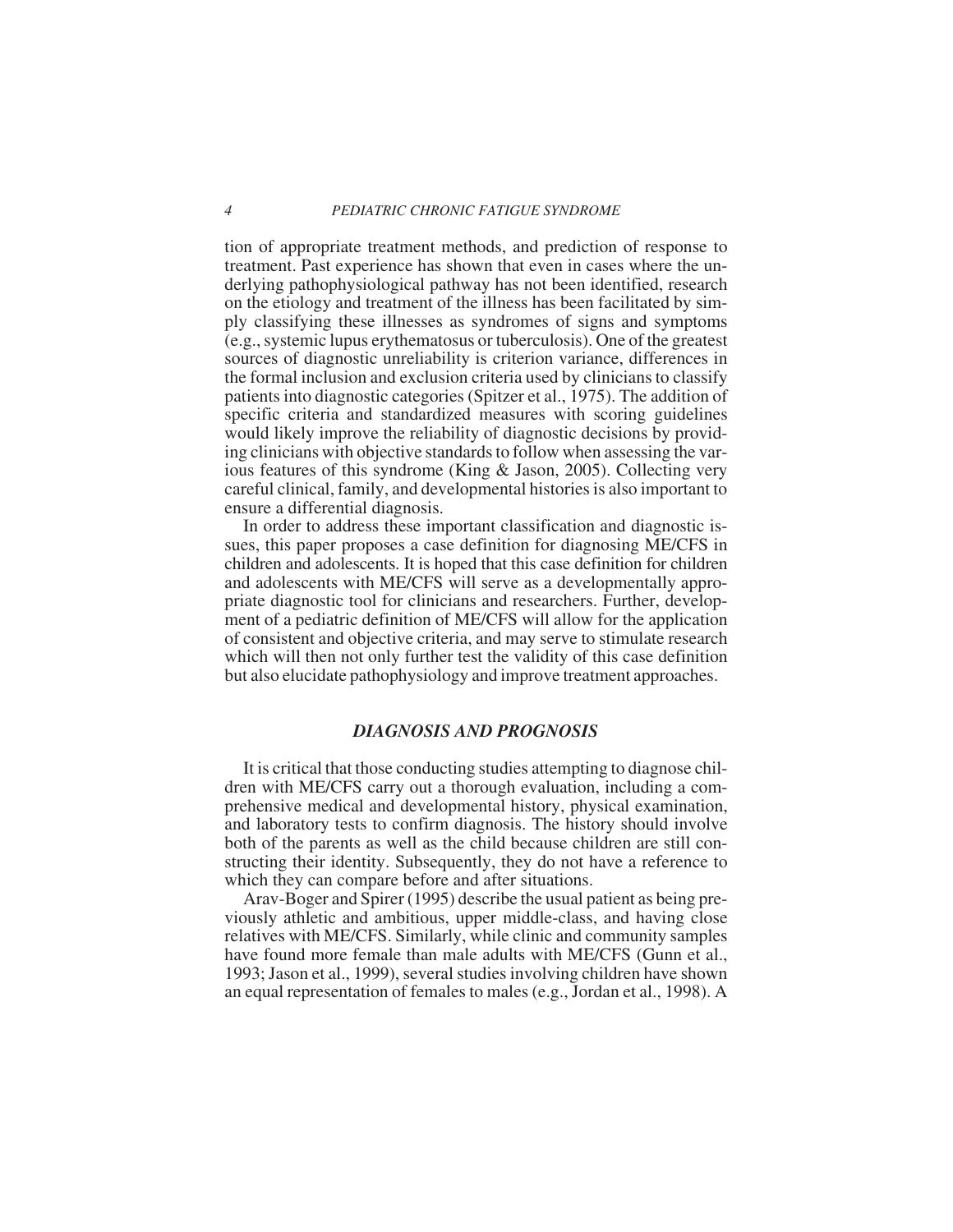#### *4 PEDIATRIC CHRONIC FATIGUE SYNDROME*

tion of appropriate treatment methods, and prediction of response to treatment. Past experience has shown that even in cases where the underlying pathophysiological pathway has not been identified, research on the etiology and treatment of the illness has been facilitated by simply classifying these illnesses as syndromes of signs and symptoms (e.g., systemic lupus erythematosus or tuberculosis). One of the greatest sources of diagnostic unreliability is criterion variance, differences in the formal inclusion and exclusion criteria used by clinicians to classify patients into diagnostic categories (Spitzer et al., 1975). The addition of specific criteria and standardized measures with scoring guidelines would likely improve the reliability of diagnostic decisions by providing clinicians with objective standards to follow when assessing the various features of this syndrome (King & Jason, 2005). Collecting very careful clinical, family, and developmental histories is also important to ensure a differential diagnosis.

In order to address these important classification and diagnostic issues, this paper proposes a case definition for diagnosing ME/CFS in children and adolescents. It is hoped that this case definition for children and adolescents with ME/CFS will serve as a developmentally appropriate diagnostic tool for clinicians and researchers. Further, development of a pediatric definition of ME/CFS will allow for the application of consistent and objective criteria, and may serve to stimulate research which will then not only further test the validity of this case definition but also elucidate pathophysiology and improve treatment approaches.

# *DIAGNOSIS AND PROGNOSIS*

It is critical that those conducting studies attempting to diagnose children with ME/CFS carry out a thorough evaluation, including a comprehensive medical and developmental history, physical examination, and laboratory tests to confirm diagnosis. The history should involve both of the parents as well as the child because children are still constructing their identity. Subsequently, they do not have a reference to which they can compare before and after situations.

Arav-Boger and Spirer (1995) describe the usual patient as being previously athletic and ambitious, upper middle-class, and having close relatives with ME/CFS. Similarly, while clinic and community samples have found more female than male adults with ME/CFS (Gunn et al., 1993; Jason et al., 1999), several studies involving children have shown an equal representation of females to males (e.g., Jordan et al., 1998). A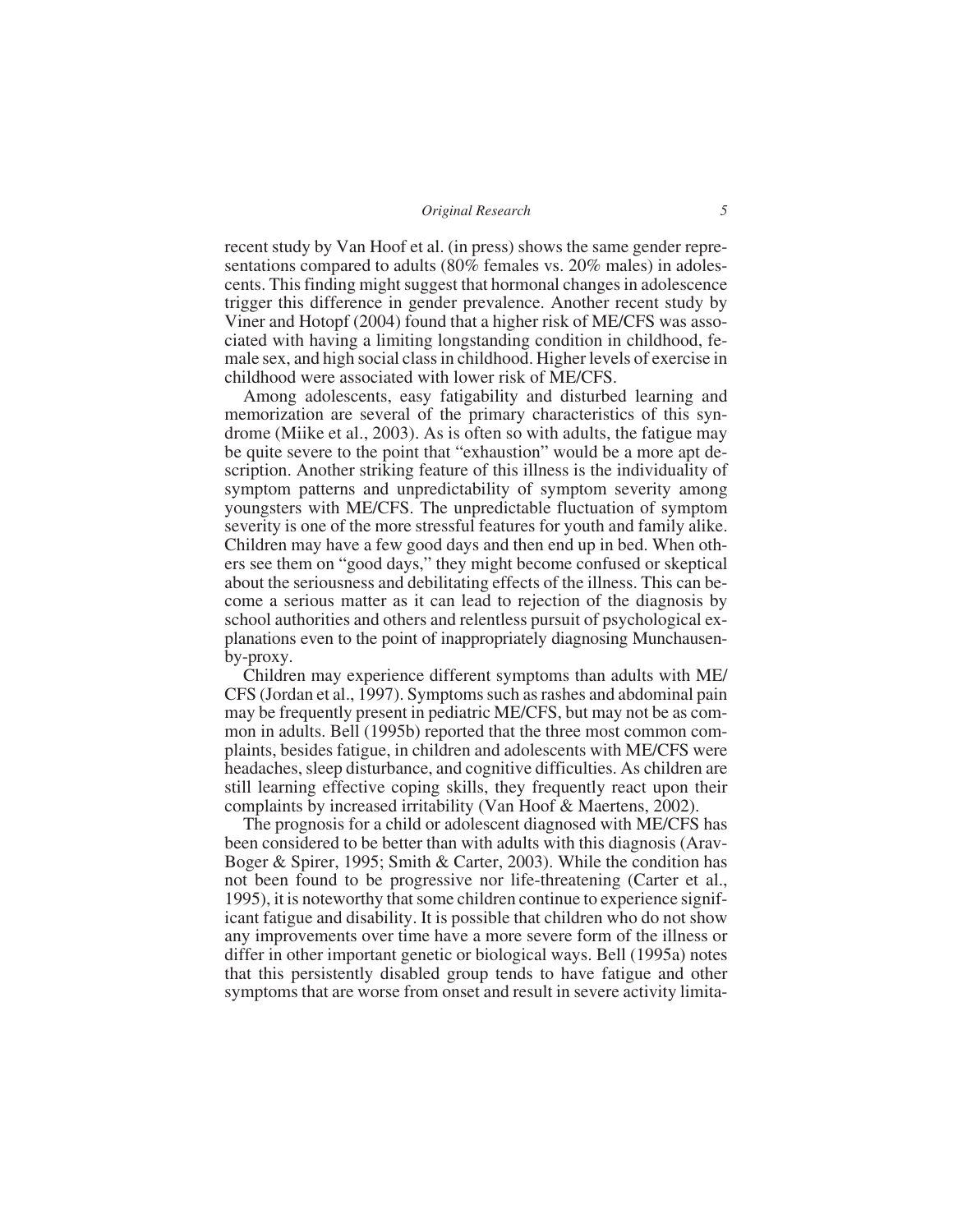recent study by Van Hoof et al. (in press) shows the same gender representations compared to adults (80% females vs. 20% males) in adolescents. This finding might suggest that hormonal changes in adolescence trigger this difference in gender prevalence. Another recent study by Viner and Hotopf (2004) found that a higher risk of ME/CFS was associated with having a limiting longstanding condition in childhood, female sex, and high social class in childhood. Higher levels of exercise in childhood were associated with lower risk of ME/CFS.

Among adolescents, easy fatigability and disturbed learning and memorization are several of the primary characteristics of this syndrome (Miike et al., 2003). As is often so with adults, the fatigue may be quite severe to the point that "exhaustion" would be a more apt description. Another striking feature of this illness is the individuality of symptom patterns and unpredictability of symptom severity among youngsters with ME/CFS. The unpredictable fluctuation of symptom severity is one of the more stressful features for youth and family alike. Children may have a few good days and then end up in bed. When others see them on "good days," they might become confused or skeptical about the seriousness and debilitating effects of the illness. This can become a serious matter as it can lead to rejection of the diagnosis by school authorities and others and relentless pursuit of psychological explanations even to the point of inappropriately diagnosing Munchausenby-proxy.

Children may experience different symptoms than adults with ME/ CFS (Jordan et al., 1997). Symptoms such as rashes and abdominal pain may be frequently present in pediatric ME/CFS, but may not be as common in adults. Bell (1995b) reported that the three most common complaints, besides fatigue, in children and adolescents with ME/CFS were headaches, sleep disturbance, and cognitive difficulties. As children are still learning effective coping skills, they frequently react upon their complaints by increased irritability (Van Hoof & Maertens, 2002).

The prognosis for a child or adolescent diagnosed with ME/CFS has been considered to be better than with adults with this diagnosis (Arav-Boger & Spirer, 1995; Smith & Carter, 2003). While the condition has not been found to be progressive nor life-threatening (Carter et al., 1995), it is noteworthy that some children continue to experience significant fatigue and disability. It is possible that children who do not show any improvements over time have a more severe form of the illness or differ in other important genetic or biological ways. Bell (1995a) notes that this persistently disabled group tends to have fatigue and other symptoms that are worse from onset and result in severe activity limita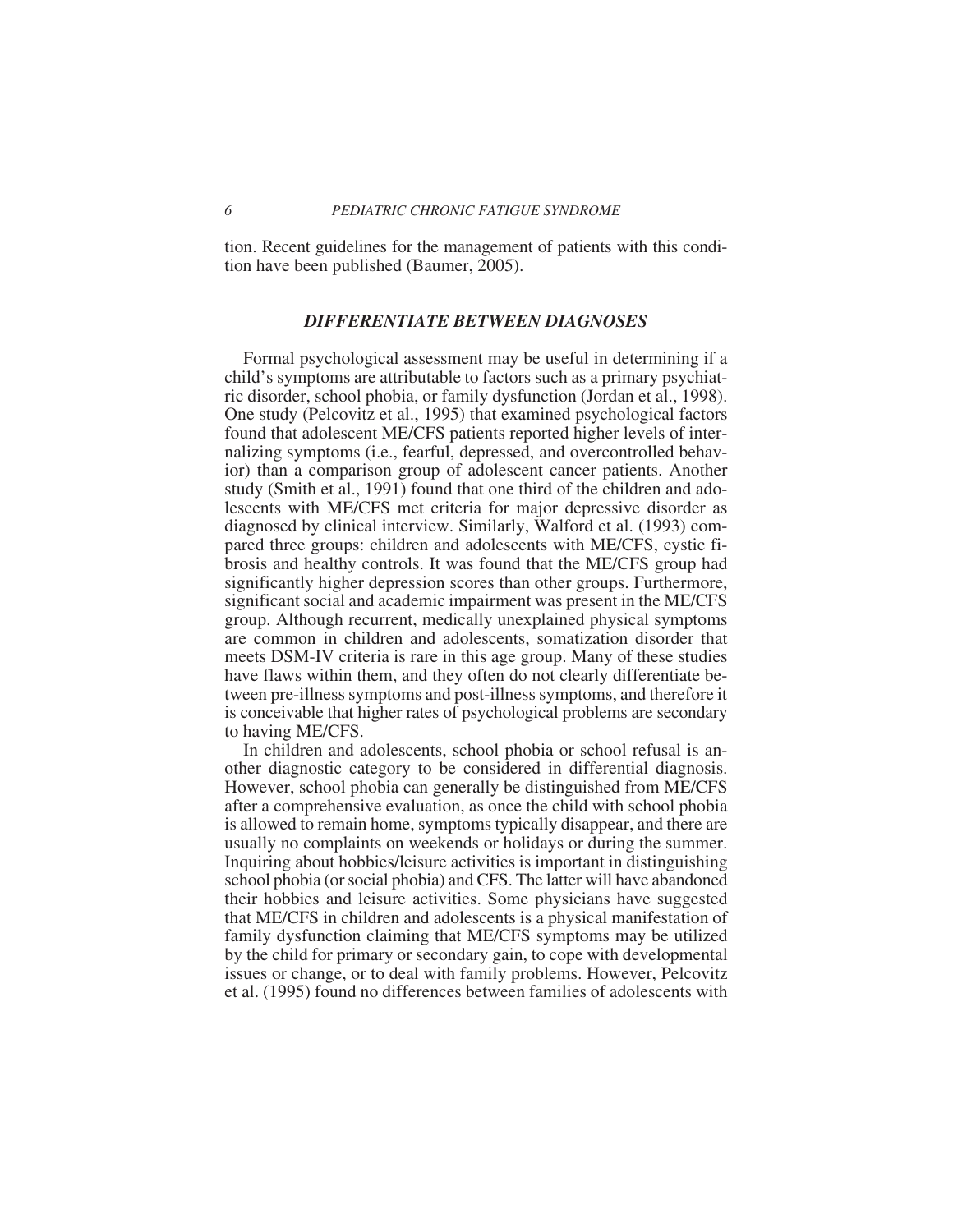tion. Recent guidelines for the management of patients with this condition have been published (Baumer, 2005).

## *DIFFERENTIATE BETWEEN DIAGNOSES*

Formal psychological assessment may be useful in determining if a child's symptoms are attributable to factors such as a primary psychiatric disorder, school phobia, or family dysfunction (Jordan et al., 1998). One study (Pelcovitz et al., 1995) that examined psychological factors found that adolescent ME/CFS patients reported higher levels of internalizing symptoms (i.e., fearful, depressed, and overcontrolled behavior) than a comparison group of adolescent cancer patients. Another study (Smith et al., 1991) found that one third of the children and adolescents with ME/CFS met criteria for major depressive disorder as diagnosed by clinical interview. Similarly, Walford et al. (1993) compared three groups: children and adolescents with ME/CFS, cystic fibrosis and healthy controls. It was found that the ME/CFS group had significantly higher depression scores than other groups. Furthermore, significant social and academic impairment was present in the ME/CFS group. Although recurrent, medically unexplained physical symptoms are common in children and adolescents, somatization disorder that meets DSM-IV criteria is rare in this age group. Many of these studies have flaws within them, and they often do not clearly differentiate between pre-illness symptoms and post-illness symptoms, and therefore it is conceivable that higher rates of psychological problems are secondary to having ME/CFS.

In children and adolescents, school phobia or school refusal is another diagnostic category to be considered in differential diagnosis. However, school phobia can generally be distinguished from ME/CFS after a comprehensive evaluation, as once the child with school phobia is allowed to remain home, symptoms typically disappear, and there are usually no complaints on weekends or holidays or during the summer. Inquiring about hobbies/leisure activities is important in distinguishing school phobia (or social phobia) and CFS. The latter will have abandoned their hobbies and leisure activities. Some physicians have suggested that ME/CFS in children and adolescents is a physical manifestation of family dysfunction claiming that ME/CFS symptoms may be utilized by the child for primary or secondary gain, to cope with developmental issues or change, or to deal with family problems. However, Pelcovitz et al. (1995) found no differences between families of adolescents with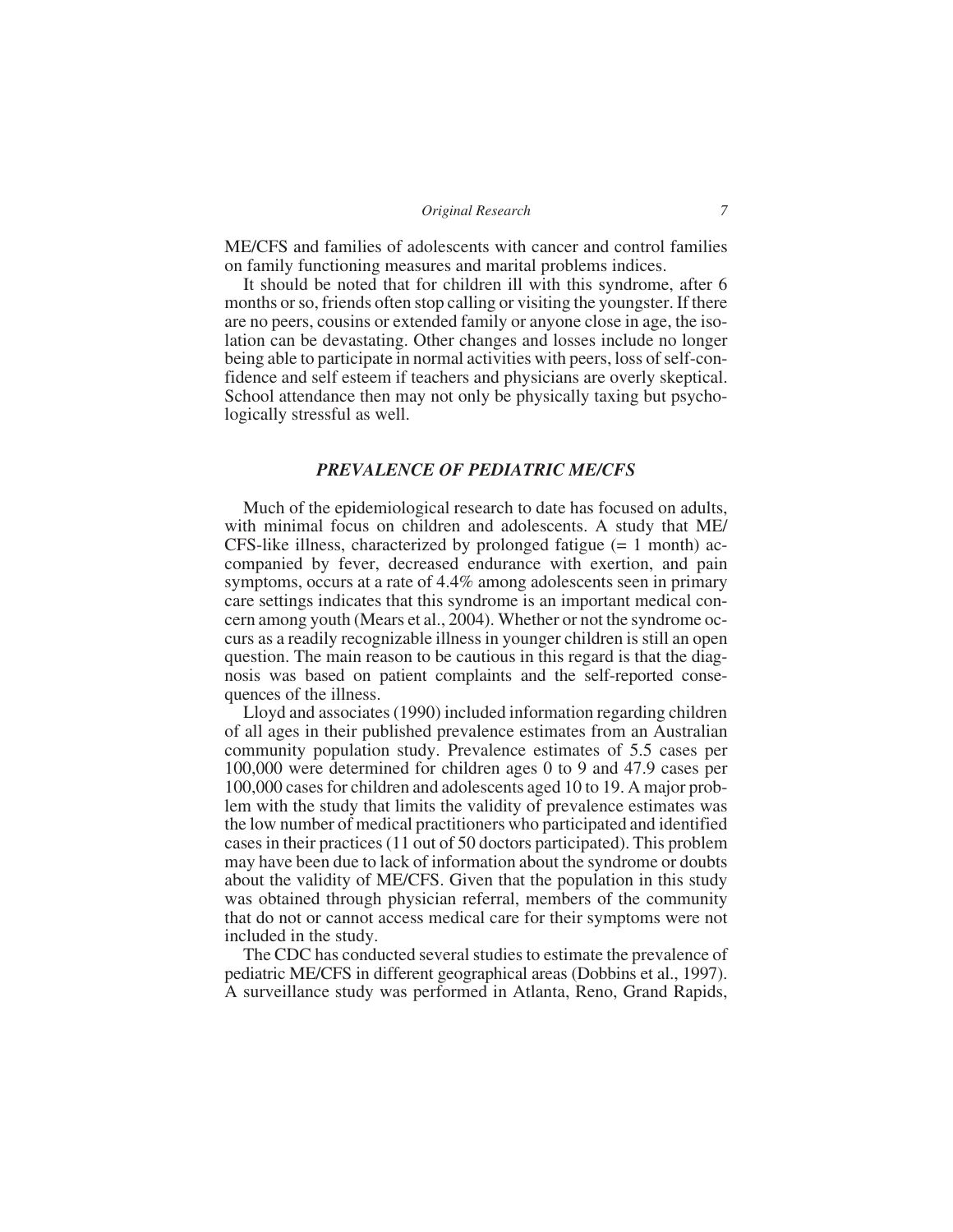ME/CFS and families of adolescents with cancer and control families on family functioning measures and marital problems indices.

It should be noted that for children ill with this syndrome, after 6 months or so, friends often stop calling or visiting the youngster. If there are no peers, cousins or extended family or anyone close in age, the isolation can be devastating. Other changes and losses include no longer being able to participate in normal activities with peers, loss of self-confidence and self esteem if teachers and physicians are overly skeptical. School attendance then may not only be physically taxing but psychologically stressful as well.

# *PREVALENCE OF PEDIATRIC ME/CFS*

Much of the epidemiological research to date has focused on adults, with minimal focus on children and adolescents. A study that ME/ CFS-like illness, characterized by prolonged fatigue (= 1 month) accompanied by fever, decreased endurance with exertion, and pain symptoms, occurs at a rate of 4.4% among adolescents seen in primary care settings indicates that this syndrome is an important medical concern among youth (Mears et al., 2004). Whether or not the syndrome occurs as a readily recognizable illness in younger children is still an open question. The main reason to be cautious in this regard is that the diagnosis was based on patient complaints and the self-reported consequences of the illness.

Lloyd and associates (1990) included information regarding children of all ages in their published prevalence estimates from an Australian community population study. Prevalence estimates of 5.5 cases per 100,000 were determined for children ages 0 to 9 and 47.9 cases per 100,000 cases for children and adolescents aged 10 to 19. A major problem with the study that limits the validity of prevalence estimates was the low number of medical practitioners who participated and identified cases in their practices (11 out of 50 doctors participated). This problem may have been due to lack of information about the syndrome or doubts about the validity of ME/CFS. Given that the population in this study was obtained through physician referral, members of the community that do not or cannot access medical care for their symptoms were not included in the study.

The CDC has conducted several studies to estimate the prevalence of pediatric ME/CFS in different geographical areas (Dobbins et al., 1997). A surveillance study was performed in Atlanta, Reno, Grand Rapids,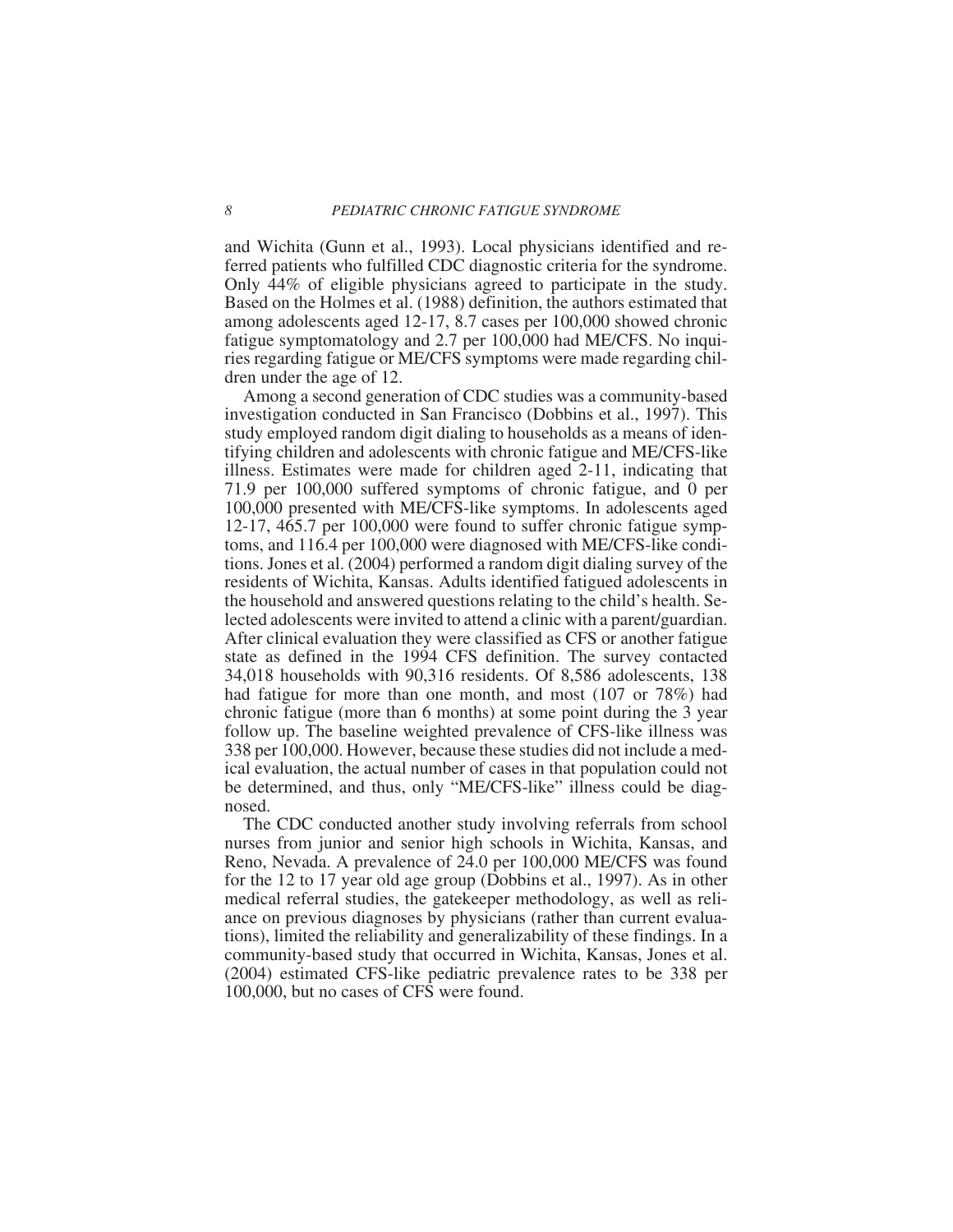and Wichita (Gunn et al., 1993). Local physicians identified and referred patients who fulfilled CDC diagnostic criteria for the syndrome. Only 44% of eligible physicians agreed to participate in the study. Based on the Holmes et al. (1988) definition, the authors estimated that among adolescents aged 12-17, 8.7 cases per 100,000 showed chronic fatigue symptomatology and 2.7 per 100,000 had ME/CFS. No inquiries regarding fatigue or ME/CFS symptoms were made regarding children under the age of 12.

Among a second generation of CDC studies was a community-based investigation conducted in San Francisco (Dobbins et al., 1997). This study employed random digit dialing to households as a means of identifying children and adolescents with chronic fatigue and ME/CFS-like illness. Estimates were made for children aged 2-11, indicating that 71.9 per 100,000 suffered symptoms of chronic fatigue, and 0 per 100,000 presented with ME/CFS-like symptoms. In adolescents aged 12-17, 465.7 per 100,000 were found to suffer chronic fatigue symptoms, and 116.4 per 100,000 were diagnosed with ME/CFS-like conditions. Jones et al. (2004) performed a random digit dialing survey of the residents of Wichita, Kansas. Adults identified fatigued adolescents in the household and answered questions relating to the child's health. Selected adolescents were invited to attend a clinic with a parent/guardian. After clinical evaluation they were classified as CFS or another fatigue state as defined in the 1994 CFS definition. The survey contacted 34,018 households with 90,316 residents. Of 8,586 adolescents, 138 had fatigue for more than one month, and most (107 or 78%) had chronic fatigue (more than 6 months) at some point during the 3 year follow up. The baseline weighted prevalence of CFS-like illness was 338 per 100,000. However, because these studies did not include a medical evaluation, the actual number of cases in that population could not be determined, and thus, only "ME/CFS-like" illness could be diagnosed.

The CDC conducted another study involving referrals from school nurses from junior and senior high schools in Wichita, Kansas, and Reno, Nevada. A prevalence of 24.0 per 100,000 ME/CFS was found for the 12 to 17 year old age group (Dobbins et al., 1997). As in other medical referral studies, the gatekeeper methodology, as well as reliance on previous diagnoses by physicians (rather than current evaluations), limited the reliability and generalizability of these findings. In a community-based study that occurred in Wichita, Kansas, Jones et al. (2004) estimated CFS-like pediatric prevalence rates to be 338 per 100,000, but no cases of CFS were found.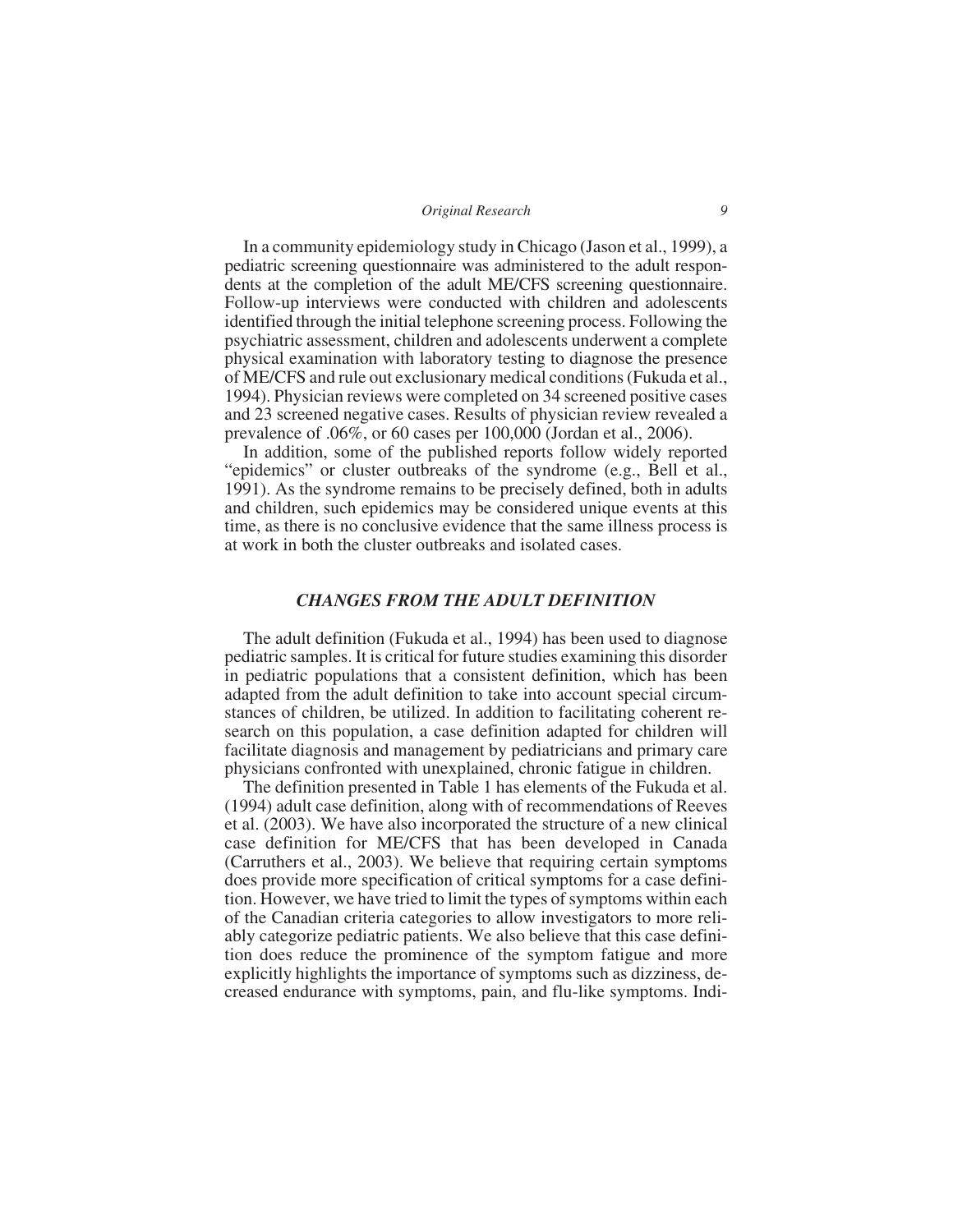In a community epidemiology study in Chicago (Jason et al., 1999), a pediatric screening questionnaire was administered to the adult respondents at the completion of the adult ME/CFS screening questionnaire. Follow-up interviews were conducted with children and adolescents identified through the initial telephone screening process. Following the psychiatric assessment, children and adolescents underwent a complete physical examination with laboratory testing to diagnose the presence of ME/CFS and rule out exclusionary medical conditions (Fukuda et al., 1994). Physician reviews were completed on 34 screened positive cases and 23 screened negative cases. Results of physician review revealed a prevalence of .06%, or 60 cases per 100,000 (Jordan et al., 2006).

In addition, some of the published reports follow widely reported "epidemics" or cluster outbreaks of the syndrome (e.g., Bell et al., 1991). As the syndrome remains to be precisely defined, both in adults and children, such epidemics may be considered unique events at this time, as there is no conclusive evidence that the same illness process is at work in both the cluster outbreaks and isolated cases.

# *CHANGES FROM THE ADULT DEFINITION*

The adult definition (Fukuda et al., 1994) has been used to diagnose pediatric samples. It is critical for future studies examining this disorder in pediatric populations that a consistent definition, which has been adapted from the adult definition to take into account special circumstances of children, be utilized. In addition to facilitating coherent research on this population, a case definition adapted for children will facilitate diagnosis and management by pediatricians and primary care physicians confronted with unexplained, chronic fatigue in children.

The definition presented in Table 1 has elements of the Fukuda et al. (1994) adult case definition, along with of recommendations of Reeves et al. (2003). We have also incorporated the structure of a new clinical case definition for ME/CFS that has been developed in Canada (Carruthers et al., 2003). We believe that requiring certain symptoms does provide more specification of critical symptoms for a case definition. However, we have tried to limit the types of symptoms within each of the Canadian criteria categories to allow investigators to more reliably categorize pediatric patients. We also believe that this case definition does reduce the prominence of the symptom fatigue and more explicitly highlights the importance of symptoms such as dizziness, decreased endurance with symptoms, pain, and flu-like symptoms. Indi-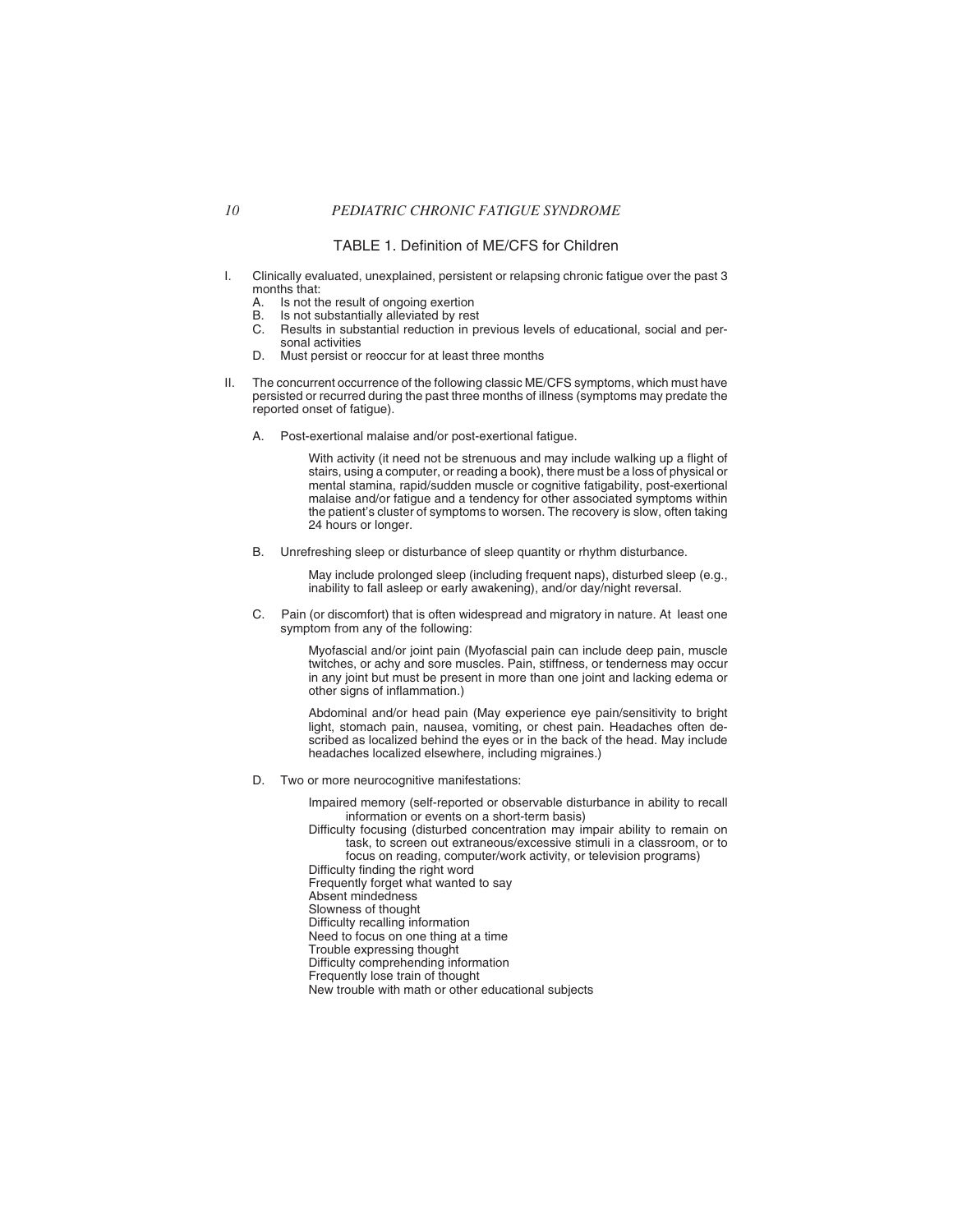#### *10 PEDIATRIC CHRONIC FATIGUE SYNDROME*

#### TABLE 1. Definition of ME/CFS for Children

- I. Clinically evaluated, unexplained, persistent or relapsing chronic fatigue over the past 3 months that:
	- A. Is not the result of ongoing exertion<br>B. Is not substantially alleviated by rest
	- B. Is not substantially alleviated by rest<br>C. Results in substantial reduction in pro
	- Results in substantial reduction in previous levels of educational, social and personal activities
	- D. Must persist or reoccur for at least three months
- II. The concurrent occurrence of the following classic ME/CFS symptoms, which must have persisted or recurred during the past three months of illness (symptoms may predate the reported onset of fatigue).
	- A. Post-exertional malaise and/or post-exertional fatigue.

With activity (it need not be strenuous and may include walking up a flight of stairs, using a computer, or reading a book), there must be a loss of physical or mental stamina, rapid/sudden muscle or cognitive fatigability, post-exertional malaise and/or fatigue and a tendency for other associated symptoms within the patient's cluster of symptoms to worsen. The recovery is slow, often taking 24 hours or longer.

B. Unrefreshing sleep or disturbance of sleep quantity or rhythm disturbance.

May include prolonged sleep (including frequent naps), disturbed sleep (e.g., inability to fall asleep or early awakening), and/or day/night reversal.

C. Pain (or discomfort) that is often widespread and migratory in nature. At least one symptom from any of the following:

> Myofascial and/or joint pain (Myofascial pain can include deep pain, muscle twitches, or achy and sore muscles. Pain, stiffness, or tenderness may occur in any joint but must be present in more than one joint and lacking edema or other signs of inflammation.)

> Abdominal and/or head pain (May experience eye pain/sensitivity to bright light, stomach pain, nausea, vomiting, or chest pain. Headaches often described as localized behind the eyes or in the back of the head. May include headaches localized elsewhere, including migraines.)

D. Two or more neurocognitive manifestations:

Impaired memory (self-reported or observable disturbance in ability to recall information or events on a short-term basis)

Difficulty focusing (disturbed concentration may impair ability to remain on task, to screen out extraneous/excessive stimuli in a classroom, or to focus on reading, computer/work activity, or television programs)

Difficulty finding the right word

Frequently forget what wanted to say

Absent mindedness

Slowness of thought

Difficulty recalling information

Need to focus on one thing at a time

Trouble expressing thought

Difficulty comprehending information

Frequently lose train of thought

New trouble with math or other educational subjects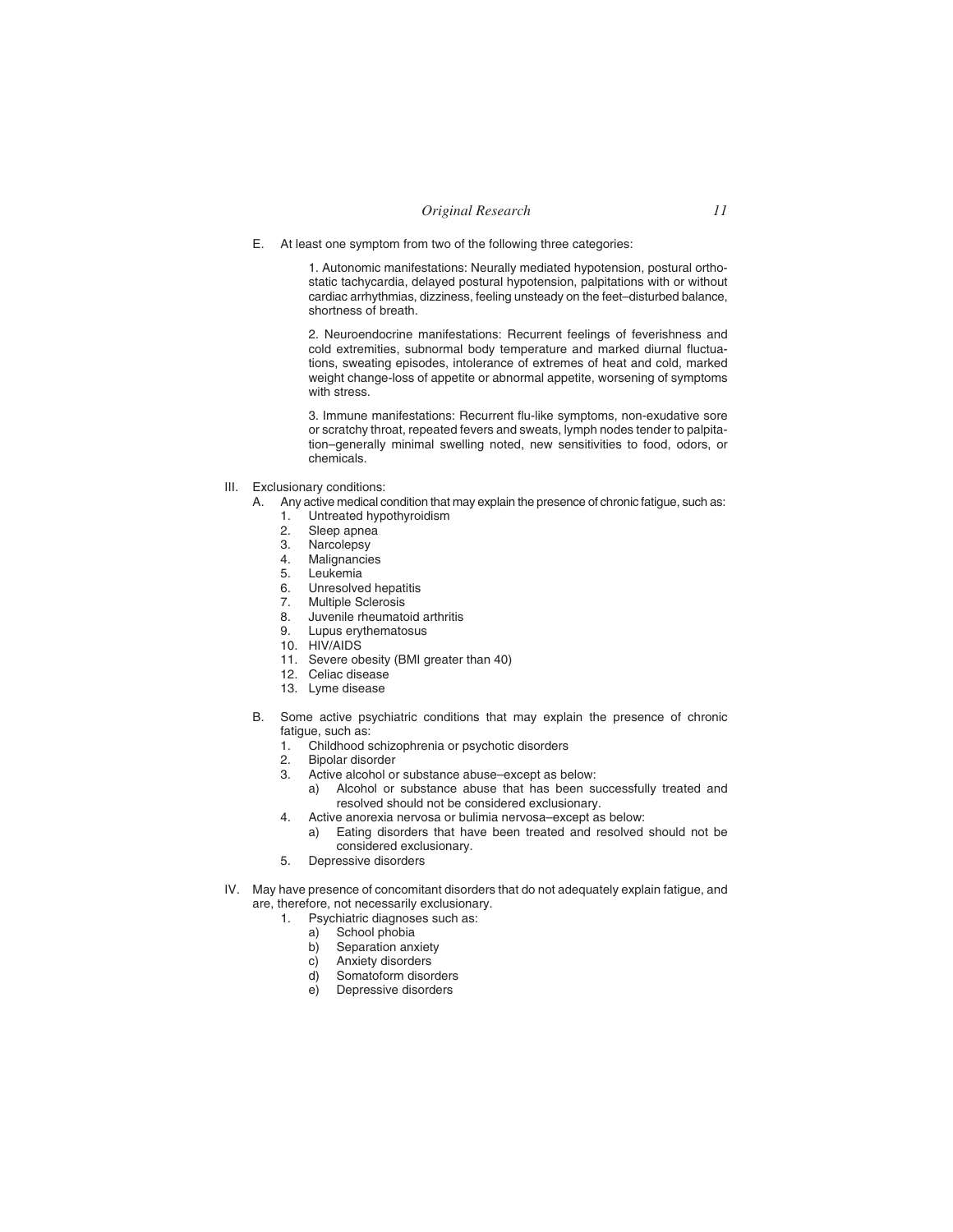E. At least one symptom from two of the following three categories:

1. Autonomic manifestations: Neurally mediated hypotension, postural orthostatic tachycardia, delayed postural hypotension, palpitations with or without cardiac arrhythmias, dizziness, feeling unsteady on the feet–disturbed balance, shortness of breath.

2. Neuroendocrine manifestations: Recurrent feelings of feverishness and cold extremities, subnormal body temperature and marked diurnal fluctuations, sweating episodes, intolerance of extremes of heat and cold, marked weight change-loss of appetite or abnormal appetite, worsening of symptoms with stress.

3. Immune manifestations: Recurrent flu-like symptoms, non-exudative sore or scratchy throat, repeated fevers and sweats, lymph nodes tender to palpitation–generally minimal swelling noted, new sensitivities to food, odors, or chemicals.

- III. Exclusionary conditions:
	- A. Any active medical condition that may explain the presence of chronic fatigue, such as:
		- 1. Untreated hypothyroidism
		- 2. Sleep apnea
		- 3. Narcolepsy<br>4. Malignancie
		- **Malignancies**
		- 5. Leukemia<br>6. Unresolve
		- Unresolved hepatitis
		- 7. Multiple Sclerosis<br>8. Juvenile rheumato
		- Juvenile rheumatoid arthritis
		- 9. Lupus erythematosus
		- 10. HIV/AIDS
		- 11. Severe obesity (BMI greater than 40)
		- 12. Celiac disease
		- 13. Lyme disease
	- B. Some active psychiatric conditions that may explain the presence of chronic fatigue, such as:
		- 1. Childhood schizophrenia or psychotic disorders<br>2. Binolar disorder
		- Bipolar disorder
		- 3. Active alcohol or substance abuse–except as below:<br>a) Alcohol or substance abuse that has been su
			- Alcohol or substance abuse that has been successfully treated and resolved should not be considered exclusionary.
		- 4. Active anorexia nervosa or bulimia nervosa–except as below:
			- a) Eating disorders that have been treated and resolved should not be considered exclusionary.
		- 5. Depressive disorders
- IV. May have presence of concomitant disorders that do not adequately explain fatigue, and are, therefore, not necessarily exclusionary.
	- 1. Psychiatric diagnoses such as:<br>a) School phobia
		- a) School phobia<br>b) Separation anx
			- Separation anxiety
			- c) Anxiety disorders
		- d) Somatoform disorders
		- Depressive disorders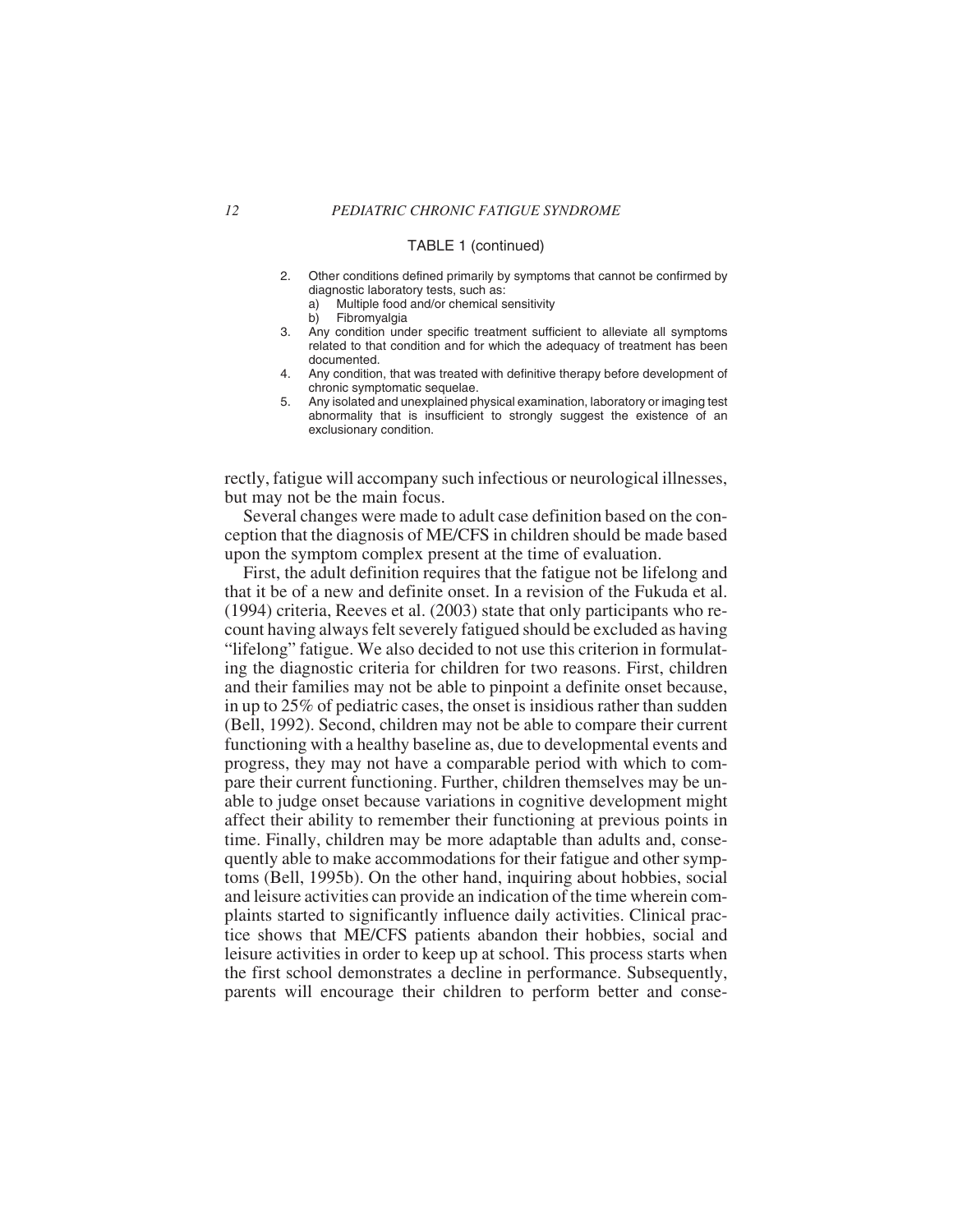#### TABLE 1 (continued)

- 2. Other conditions defined primarily by symptoms that cannot be confirmed by diagnostic laboratory tests, such as:<br>a) Multiple food and/or chemical s
	- Multiple food and/or chemical sensitivity
	- b) Fibromyalgia
- 3. Any condition under specific treatment sufficient to alleviate all symptoms related to that condition and for which the adequacy of treatment has been documented.
- 4. Any condition, that was treated with definitive therapy before development of chronic symptomatic sequelae.
- 5. Any isolated and unexplained physical examination, laboratory or imaging test abnormality that is insufficient to strongly suggest the existence of an exclusionary condition.

rectly, fatigue will accompany such infectious or neurological illnesses, but may not be the main focus.

Several changes were made to adult case definition based on the conception that the diagnosis of ME/CFS in children should be made based upon the symptom complex present at the time of evaluation.

First, the adult definition requires that the fatigue not be lifelong and that it be of a new and definite onset. In a revision of the Fukuda et al. (1994) criteria, Reeves et al. (2003) state that only participants who recount having always felt severely fatigued should be excluded as having "lifelong" fatigue. We also decided to not use this criterion in formulating the diagnostic criteria for children for two reasons. First, children and their families may not be able to pinpoint a definite onset because, in up to 25% of pediatric cases, the onset is insidious rather than sudden (Bell, 1992). Second, children may not be able to compare their current functioning with a healthy baseline as, due to developmental events and progress, they may not have a comparable period with which to compare their current functioning. Further, children themselves may be unable to judge onset because variations in cognitive development might affect their ability to remember their functioning at previous points in time. Finally, children may be more adaptable than adults and, consequently able to make accommodations for their fatigue and other symptoms (Bell, 1995b). On the other hand, inquiring about hobbies, social and leisure activities can provide an indication of the time wherein complaints started to significantly influence daily activities. Clinical practice shows that ME/CFS patients abandon their hobbies, social and leisure activities in order to keep up at school. This process starts when the first school demonstrates a decline in performance. Subsequently, parents will encourage their children to perform better and conse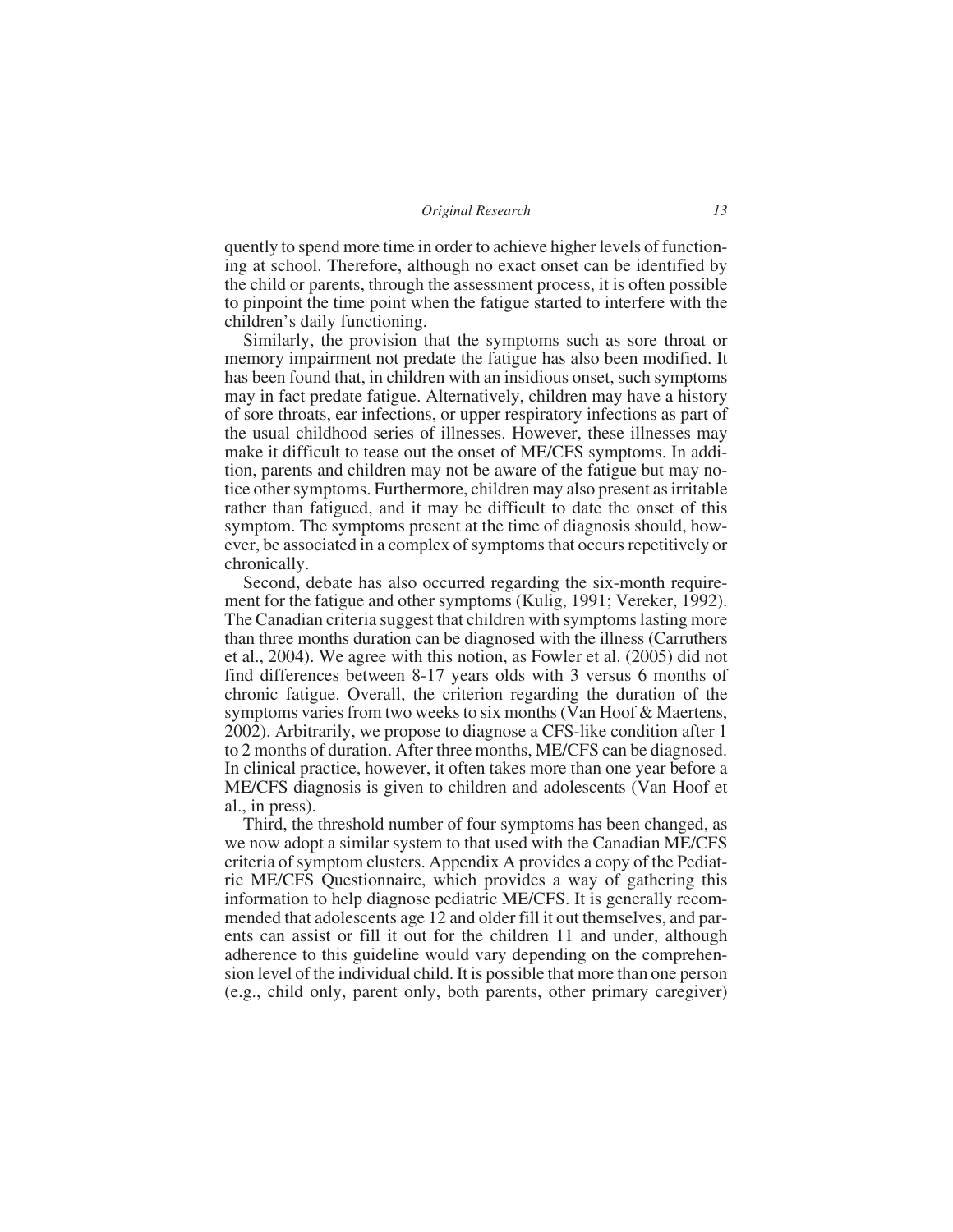quently to spend more time in order to achieve higher levels of functioning at school. Therefore, although no exact onset can be identified by the child or parents, through the assessment process, it is often possible to pinpoint the time point when the fatigue started to interfere with the children's daily functioning.

Similarly, the provision that the symptoms such as sore throat or memory impairment not predate the fatigue has also been modified. It has been found that, in children with an insidious onset, such symptoms may in fact predate fatigue. Alternatively, children may have a history of sore throats, ear infections, or upper respiratory infections as part of the usual childhood series of illnesses. However, these illnesses may make it difficult to tease out the onset of ME/CFS symptoms. In addition, parents and children may not be aware of the fatigue but may notice other symptoms. Furthermore, children may also present as irritable rather than fatigued, and it may be difficult to date the onset of this symptom. The symptoms present at the time of diagnosis should, however, be associated in a complex of symptoms that occurs repetitively or chronically.

Second, debate has also occurred regarding the six-month requirement for the fatigue and other symptoms (Kulig, 1991; Vereker, 1992). The Canadian criteria suggest that children with symptoms lasting more than three months duration can be diagnosed with the illness (Carruthers et al., 2004). We agree with this notion, as Fowler et al. (2005) did not find differences between 8-17 years olds with 3 versus 6 months of chronic fatigue. Overall, the criterion regarding the duration of the symptoms varies from two weeks to six months (Van Hoof & Maertens, 2002). Arbitrarily, we propose to diagnose a CFS-like condition after 1 to 2 months of duration. After three months, ME/CFS can be diagnosed. In clinical practice, however, it often takes more than one year before a ME/CFS diagnosis is given to children and adolescents (Van Hoof et al., in press).

Third, the threshold number of four symptoms has been changed, as we now adopt a similar system to that used with the Canadian ME/CFS criteria of symptom clusters. Appendix A provides a copy of the Pediatric ME/CFS Questionnaire, which provides a way of gathering this information to help diagnose pediatric ME/CFS. It is generally recommended that adolescents age 12 and older fill it out themselves, and parents can assist or fill it out for the children 11 and under, although adherence to this guideline would vary depending on the comprehension level of the individual child. It is possible that more than one person (e.g., child only, parent only, both parents, other primary caregiver)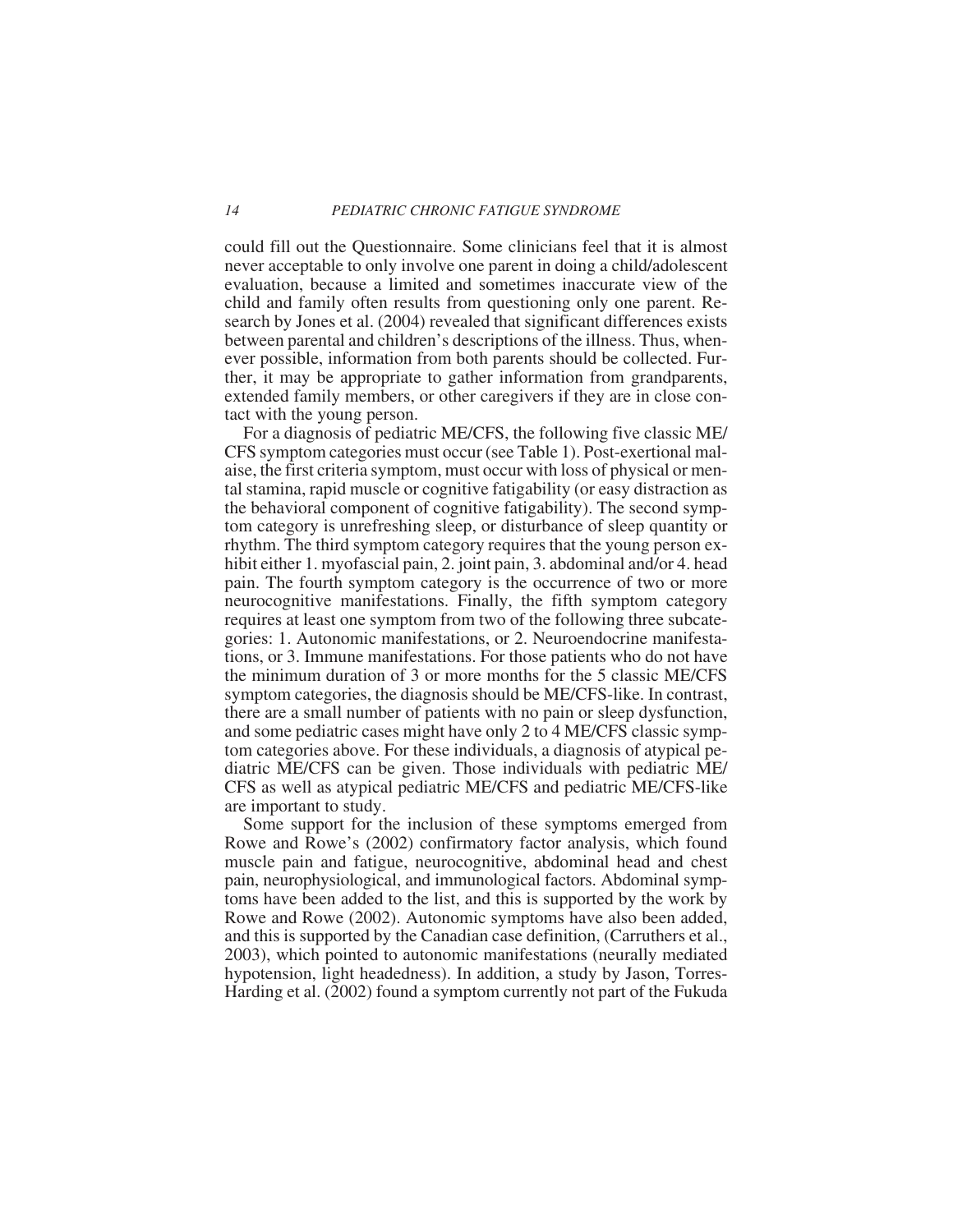could fill out the Questionnaire. Some clinicians feel that it is almost never acceptable to only involve one parent in doing a child/adolescent evaluation, because a limited and sometimes inaccurate view of the child and family often results from questioning only one parent. Research by Jones et al. (2004) revealed that significant differences exists between parental and children's descriptions of the illness. Thus, whenever possible, information from both parents should be collected. Further, it may be appropriate to gather information from grandparents, extended family members, or other caregivers if they are in close contact with the young person.

For a diagnosis of pediatric ME/CFS, the following five classic ME/ CFS symptom categories must occur (see Table 1). Post-exertional malaise, the first criteria symptom, must occur with loss of physical or mental stamina, rapid muscle or cognitive fatigability (or easy distraction as the behavioral component of cognitive fatigability). The second symptom category is unrefreshing sleep, or disturbance of sleep quantity or rhythm. The third symptom category requires that the young person exhibit either 1. myofascial pain, 2. joint pain, 3. abdominal and/or 4. head pain. The fourth symptom category is the occurrence of two or more neurocognitive manifestations. Finally, the fifth symptom category requires at least one symptom from two of the following three subcategories: 1. Autonomic manifestations, or 2. Neuroendocrine manifestations, or 3. Immune manifestations. For those patients who do not have the minimum duration of 3 or more months for the 5 classic ME/CFS symptom categories, the diagnosis should be ME/CFS-like. In contrast, there are a small number of patients with no pain or sleep dysfunction, and some pediatric cases might have only 2 to 4 ME/CFS classic symptom categories above. For these individuals, a diagnosis of atypical pediatric ME/CFS can be given. Those individuals with pediatric ME/ CFS as well as atypical pediatric ME/CFS and pediatric ME/CFS-like are important to study.

Some support for the inclusion of these symptoms emerged from Rowe and Rowe's (2002) confirmatory factor analysis, which found muscle pain and fatigue, neurocognitive, abdominal head and chest pain, neurophysiological, and immunological factors. Abdominal symptoms have been added to the list, and this is supported by the work by Rowe and Rowe (2002). Autonomic symptoms have also been added, and this is supported by the Canadian case definition, (Carruthers et al., 2003), which pointed to autonomic manifestations (neurally mediated hypotension, light headedness). In addition, a study by Jason, Torres-Harding et al. (2002) found a symptom currently not part of the Fukuda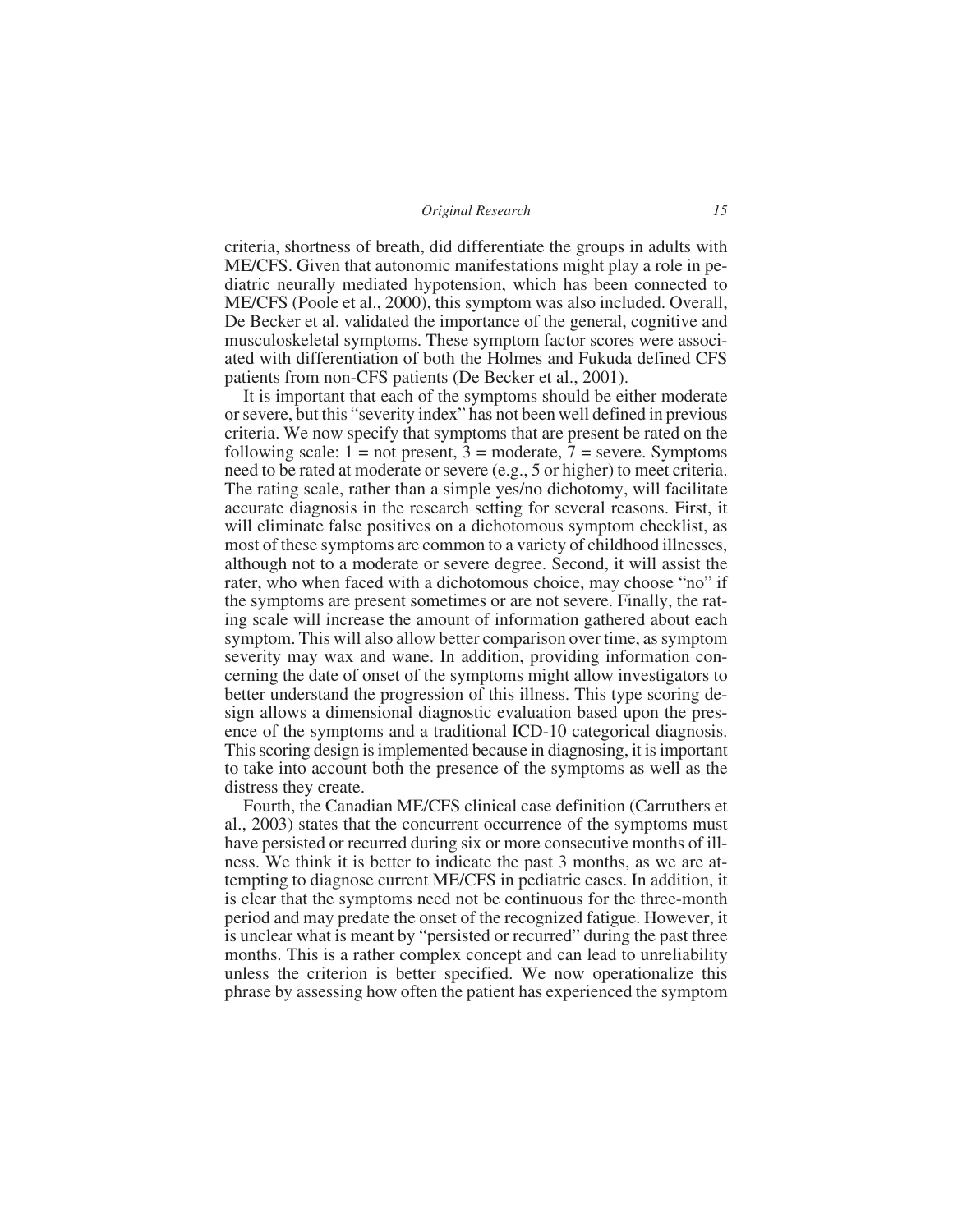criteria, shortness of breath, did differentiate the groups in adults with ME/CFS. Given that autonomic manifestations might play a role in pediatric neurally mediated hypotension, which has been connected to ME/CFS (Poole et al., 2000), this symptom was also included. Overall, De Becker et al. validated the importance of the general, cognitive and musculoskeletal symptoms. These symptom factor scores were associated with differentiation of both the Holmes and Fukuda defined CFS patients from non-CFS patients (De Becker et al., 2001).

It is important that each of the symptoms should be either moderate or severe, but this "severity index" has not been well defined in previous criteria. We now specify that symptoms that are present be rated on the following scale:  $1 = not present$ ,  $3 = moderate$ ,  $7 = severe$ . Symptoms need to be rated at moderate or severe (e.g., 5 or higher) to meet criteria. The rating scale, rather than a simple yes/no dichotomy, will facilitate accurate diagnosis in the research setting for several reasons. First, it will eliminate false positives on a dichotomous symptom checklist, as most of these symptoms are common to a variety of childhood illnesses, although not to a moderate or severe degree. Second, it will assist the rater, who when faced with a dichotomous choice, may choose "no" if the symptoms are present sometimes or are not severe. Finally, the rating scale will increase the amount of information gathered about each symptom. This will also allow better comparison over time, as symptom severity may wax and wane. In addition, providing information concerning the date of onset of the symptoms might allow investigators to better understand the progression of this illness. This type scoring design allows a dimensional diagnostic evaluation based upon the presence of the symptoms and a traditional ICD-10 categorical diagnosis. This scoring design is implemented because in diagnosing, it is important to take into account both the presence of the symptoms as well as the distress they create.

Fourth, the Canadian ME/CFS clinical case definition (Carruthers et al., 2003) states that the concurrent occurrence of the symptoms must have persisted or recurred during six or more consecutive months of illness. We think it is better to indicate the past 3 months, as we are attempting to diagnose current ME/CFS in pediatric cases. In addition, it is clear that the symptoms need not be continuous for the three-month period and may predate the onset of the recognized fatigue. However, it is unclear what is meant by "persisted or recurred" during the past three months. This is a rather complex concept and can lead to unreliability unless the criterion is better specified. We now operationalize this phrase by assessing how often the patient has experienced the symptom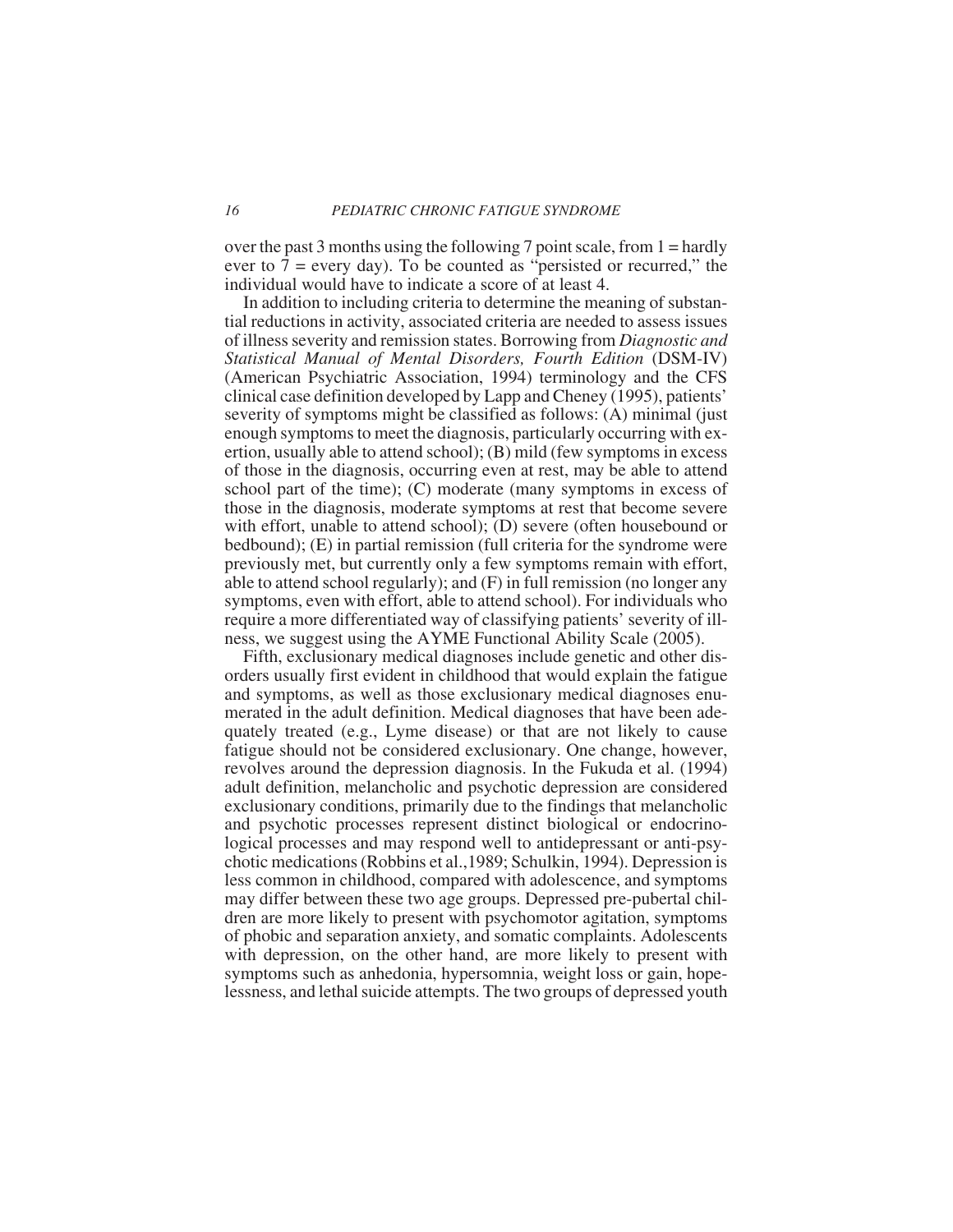over the past 3 months using the following 7 point scale, from  $1 =$  hardly ever to  $7$  = every day). To be counted as "persisted or recurred," the individual would have to indicate a score of at least 4.

In addition to including criteria to determine the meaning of substantial reductions in activity, associated criteria are needed to assess issues of illness severity and remission states. Borrowing from *Diagnostic and Statistical Manual of Mental Disorders, Fourth Edition* (DSM-IV) (American Psychiatric Association, 1994) terminology and the CFS clinical case definition developed by Lapp and Cheney (1995), patients' severity of symptoms might be classified as follows: (A) minimal (just enough symptoms to meet the diagnosis, particularly occurring with exertion, usually able to attend school); (B) mild (few symptoms in excess of those in the diagnosis, occurring even at rest, may be able to attend school part of the time); (C) moderate (many symptoms in excess of those in the diagnosis, moderate symptoms at rest that become severe with effort, unable to attend school); (D) severe (often housebound or bedbound); (E) in partial remission (full criteria for the syndrome were previously met, but currently only a few symptoms remain with effort, able to attend school regularly); and (F) in full remission (no longer any symptoms, even with effort, able to attend school). For individuals who require a more differentiated way of classifying patients' severity of illness, we suggest using the AYME Functional Ability Scale (2005).

Fifth, exclusionary medical diagnoses include genetic and other disorders usually first evident in childhood that would explain the fatigue and symptoms, as well as those exclusionary medical diagnoses enumerated in the adult definition. Medical diagnoses that have been adequately treated (e.g., Lyme disease) or that are not likely to cause fatigue should not be considered exclusionary. One change, however, revolves around the depression diagnosis. In the Fukuda et al. (1994) adult definition, melancholic and psychotic depression are considered exclusionary conditions, primarily due to the findings that melancholic and psychotic processes represent distinct biological or endocrinological processes and may respond well to antidepressant or anti-psychotic medications (Robbins et al.,1989; Schulkin, 1994). Depression is less common in childhood, compared with adolescence, and symptoms may differ between these two age groups. Depressed pre-pubertal children are more likely to present with psychomotor agitation, symptoms of phobic and separation anxiety, and somatic complaints. Adolescents with depression, on the other hand, are more likely to present with symptoms such as anhedonia, hypersomnia, weight loss or gain, hopelessness, and lethal suicide attempts. The two groups of depressed youth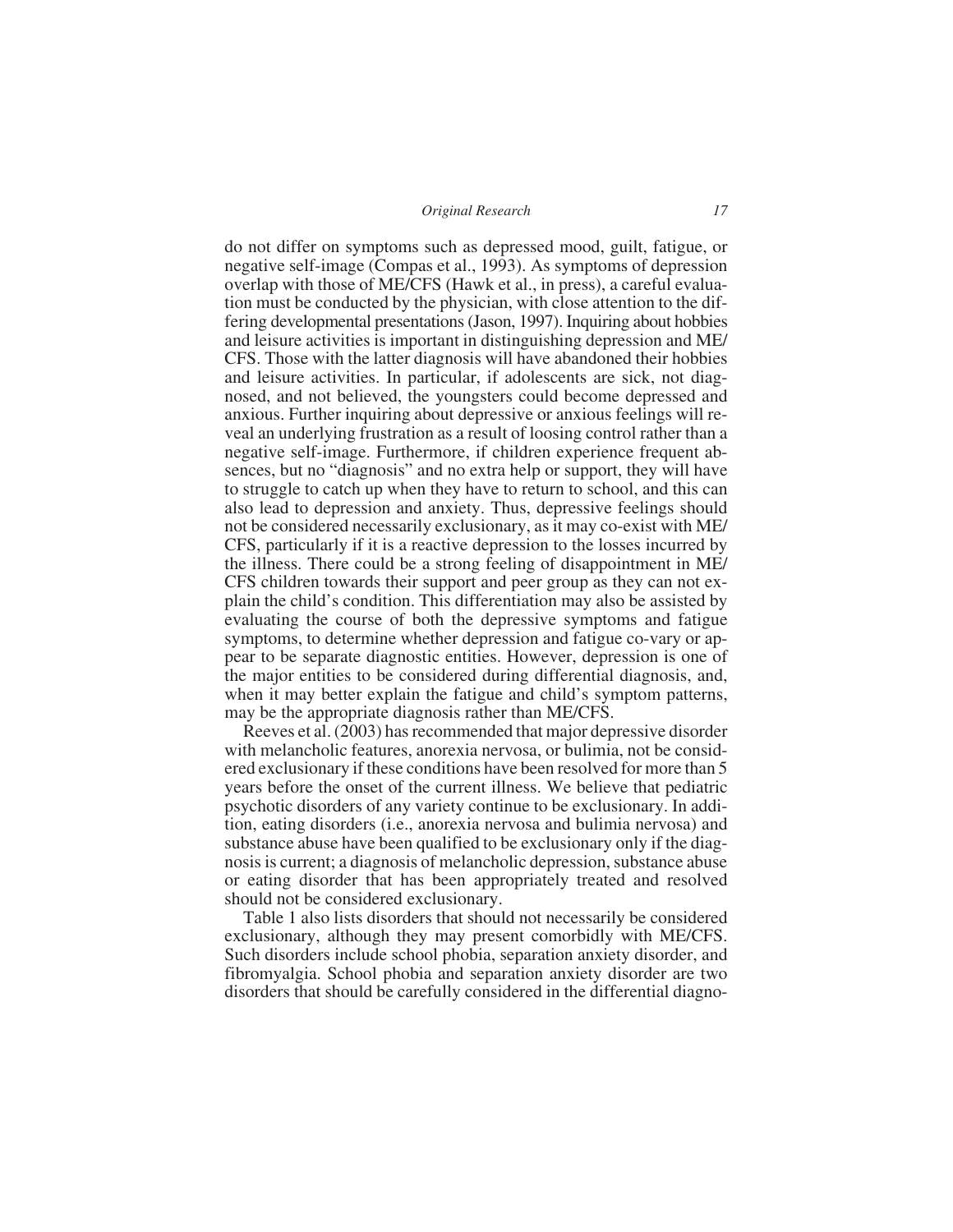do not differ on symptoms such as depressed mood, guilt, fatigue, or negative self-image (Compas et al., 1993). As symptoms of depression overlap with those of ME/CFS (Hawk et al., in press), a careful evaluation must be conducted by the physician, with close attention to the differing developmental presentations (Jason, 1997). Inquiring about hobbies and leisure activities is important in distinguishing depression and ME/ CFS. Those with the latter diagnosis will have abandoned their hobbies and leisure activities. In particular, if adolescents are sick, not diagnosed, and not believed, the youngsters could become depressed and anxious. Further inquiring about depressive or anxious feelings will reveal an underlying frustration as a result of loosing control rather than a negative self-image. Furthermore, if children experience frequent absences, but no "diagnosis" and no extra help or support, they will have to struggle to catch up when they have to return to school, and this can also lead to depression and anxiety. Thus, depressive feelings should not be considered necessarily exclusionary, as it may co-exist with ME/ CFS, particularly if it is a reactive depression to the losses incurred by the illness. There could be a strong feeling of disappointment in ME/ CFS children towards their support and peer group as they can not explain the child's condition. This differentiation may also be assisted by evaluating the course of both the depressive symptoms and fatigue symptoms, to determine whether depression and fatigue co-vary or appear to be separate diagnostic entities. However, depression is one of the major entities to be considered during differential diagnosis, and, when it may better explain the fatigue and child's symptom patterns, may be the appropriate diagnosis rather than ME/CFS.

Reeves et al. (2003) has recommended that major depressive disorder with melancholic features, anorexia nervosa, or bulimia, not be considered exclusionary if these conditions have been resolved for more than 5 years before the onset of the current illness. We believe that pediatric psychotic disorders of any variety continue to be exclusionary. In addition, eating disorders (i.e., anorexia nervosa and bulimia nervosa) and substance abuse have been qualified to be exclusionary only if the diagnosis is current; a diagnosis of melancholic depression, substance abuse or eating disorder that has been appropriately treated and resolved should not be considered exclusionary.

Table 1 also lists disorders that should not necessarily be considered exclusionary, although they may present comorbidly with ME/CFS. Such disorders include school phobia, separation anxiety disorder, and fibromyalgia. School phobia and separation anxiety disorder are two disorders that should be carefully considered in the differential diagno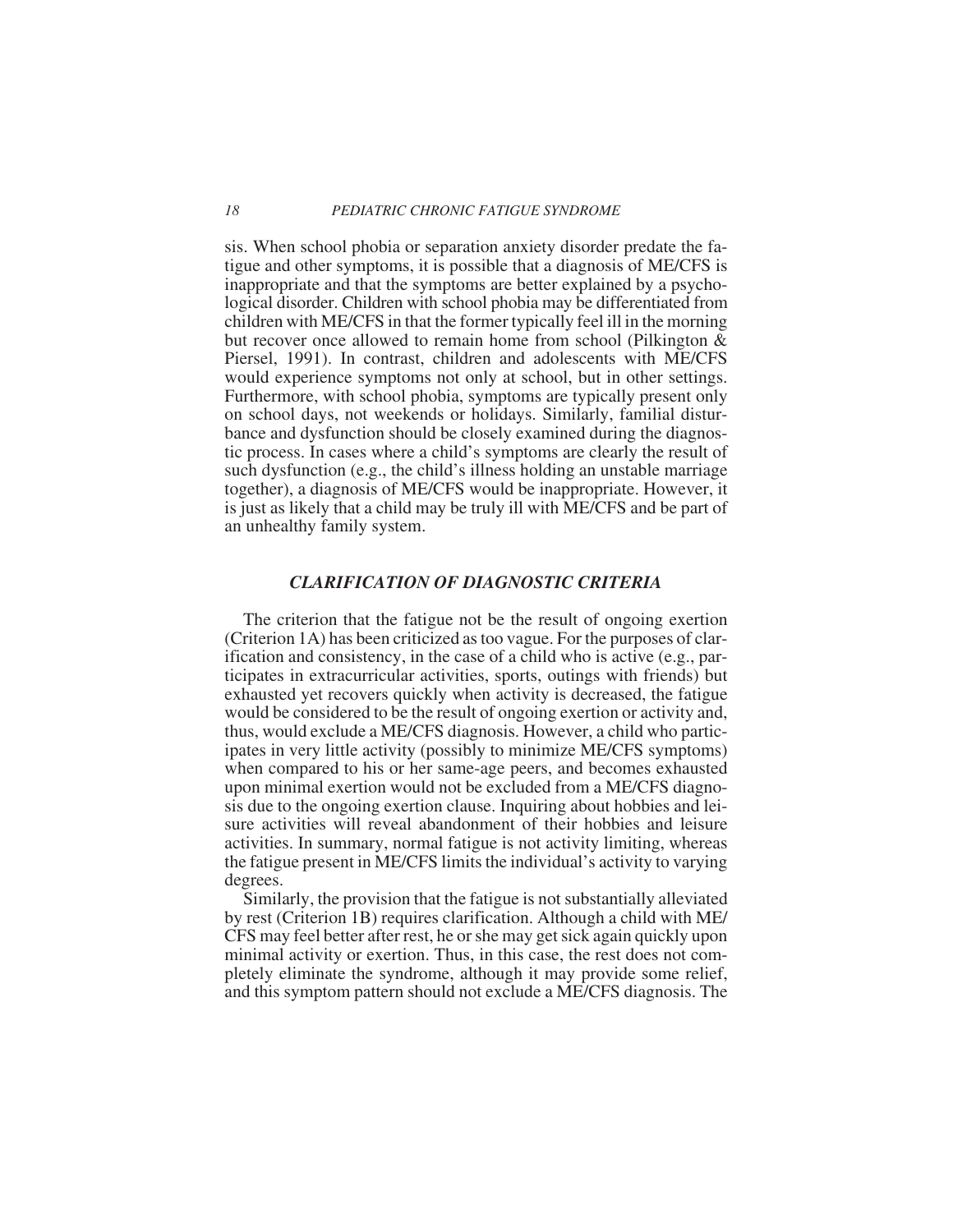sis. When school phobia or separation anxiety disorder predate the fatigue and other symptoms, it is possible that a diagnosis of ME/CFS is inappropriate and that the symptoms are better explained by a psychological disorder. Children with school phobia may be differentiated from children with ME/CFS in that the former typically feel ill in the morning but recover once allowed to remain home from school (Pilkington & Piersel, 1991). In contrast, children and adolescents with ME/CFS would experience symptoms not only at school, but in other settings. Furthermore, with school phobia, symptoms are typically present only on school days, not weekends or holidays. Similarly, familial disturbance and dysfunction should be closely examined during the diagnostic process. In cases where a child's symptoms are clearly the result of such dysfunction (e.g., the child's illness holding an unstable marriage together), a diagnosis of ME/CFS would be inappropriate. However, it is just as likely that a child may be truly ill with ME/CFS and be part of an unhealthy family system.

# *CLARIFICATION OF DIAGNOSTIC CRITERIA*

The criterion that the fatigue not be the result of ongoing exertion (Criterion 1A) has been criticized as too vague. For the purposes of clarification and consistency, in the case of a child who is active (e.g., participates in extracurricular activities, sports, outings with friends) but exhausted yet recovers quickly when activity is decreased, the fatigue would be considered to be the result of ongoing exertion or activity and, thus, would exclude a ME/CFS diagnosis. However, a child who participates in very little activity (possibly to minimize ME/CFS symptoms) when compared to his or her same-age peers, and becomes exhausted upon minimal exertion would not be excluded from a ME/CFS diagnosis due to the ongoing exertion clause. Inquiring about hobbies and leisure activities will reveal abandonment of their hobbies and leisure activities. In summary, normal fatigue is not activity limiting, whereas the fatigue present in ME/CFS limits the individual's activity to varying degrees.

Similarly, the provision that the fatigue is not substantially alleviated by rest (Criterion 1B) requires clarification. Although a child with ME/ CFS may feel better after rest, he or she may get sick again quickly upon minimal activity or exertion. Thus, in this case, the rest does not completely eliminate the syndrome, although it may provide some relief, and this symptom pattern should not exclude a ME/CFS diagnosis. The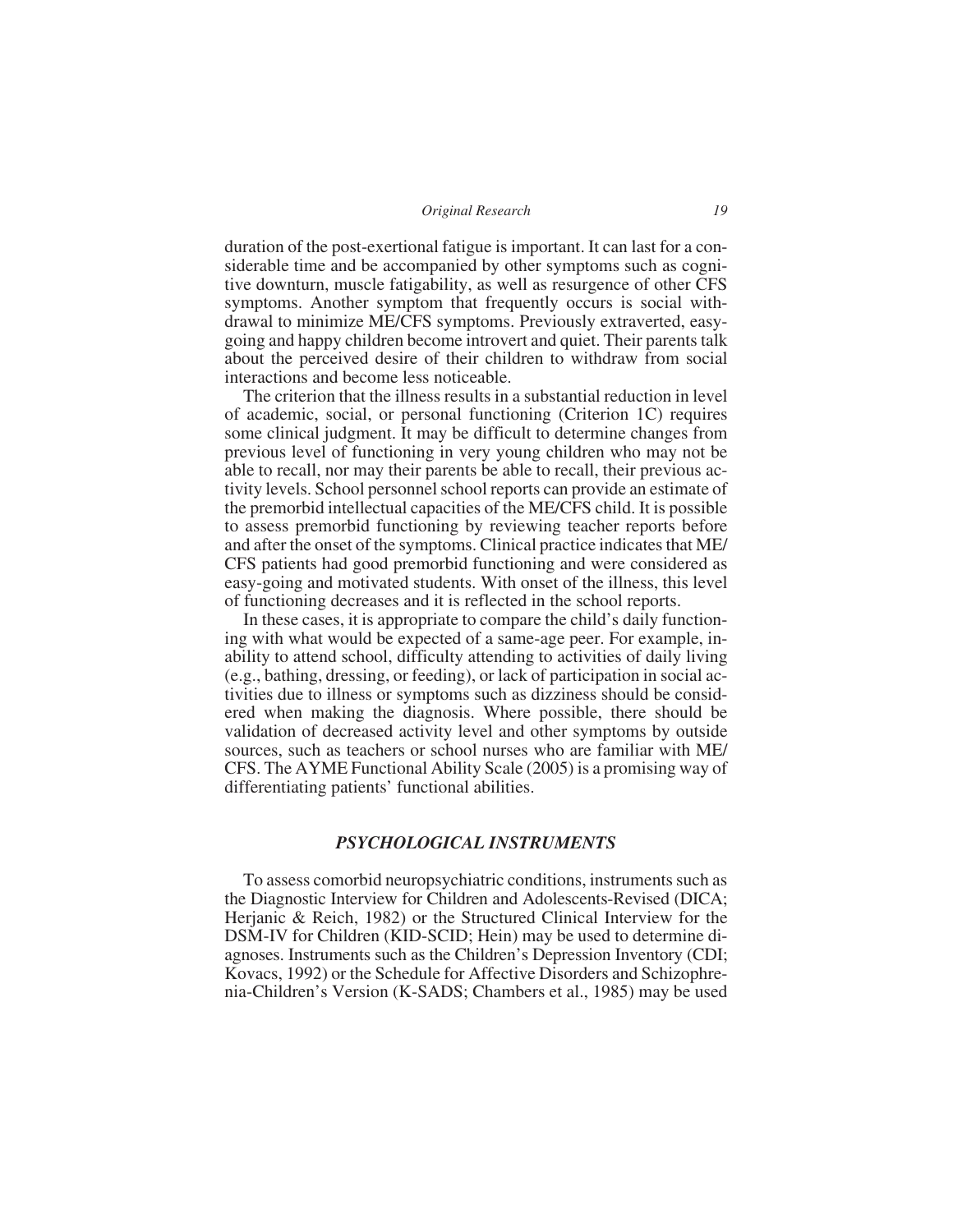duration of the post-exertional fatigue is important. It can last for a considerable time and be accompanied by other symptoms such as cognitive downturn, muscle fatigability, as well as resurgence of other CFS symptoms. Another symptom that frequently occurs is social withdrawal to minimize ME/CFS symptoms. Previously extraverted, easygoing and happy children become introvert and quiet. Their parents talk about the perceived desire of their children to withdraw from social interactions and become less noticeable.

The criterion that the illness results in a substantial reduction in level of academic, social, or personal functioning (Criterion 1C) requires some clinical judgment. It may be difficult to determine changes from previous level of functioning in very young children who may not be able to recall, nor may their parents be able to recall, their previous activity levels. School personnel school reports can provide an estimate of the premorbid intellectual capacities of the ME/CFS child. It is possible to assess premorbid functioning by reviewing teacher reports before and after the onset of the symptoms. Clinical practice indicates that ME/ CFS patients had good premorbid functioning and were considered as easy-going and motivated students. With onset of the illness, this level of functioning decreases and it is reflected in the school reports.

In these cases, it is appropriate to compare the child's daily functioning with what would be expected of a same-age peer. For example, inability to attend school, difficulty attending to activities of daily living (e.g., bathing, dressing, or feeding), or lack of participation in social activities due to illness or symptoms such as dizziness should be considered when making the diagnosis. Where possible, there should be validation of decreased activity level and other symptoms by outside sources, such as teachers or school nurses who are familiar with ME/ CFS. The AYME Functional Ability Scale (2005) is a promising way of differentiating patients' functional abilities.

## *PSYCHOLOGICAL INSTRUMENTS*

To assess comorbid neuropsychiatric conditions, instruments such as the Diagnostic Interview for Children and Adolescents-Revised (DICA; Herjanic & Reich, 1982) or the Structured Clinical Interview for the DSM-IV for Children (KID-SCID; Hein) may be used to determine diagnoses. Instruments such as the Children's Depression Inventory (CDI; Kovacs, 1992) or the Schedule for Affective Disorders and Schizophrenia-Children's Version (K-SADS; Chambers et al., 1985) may be used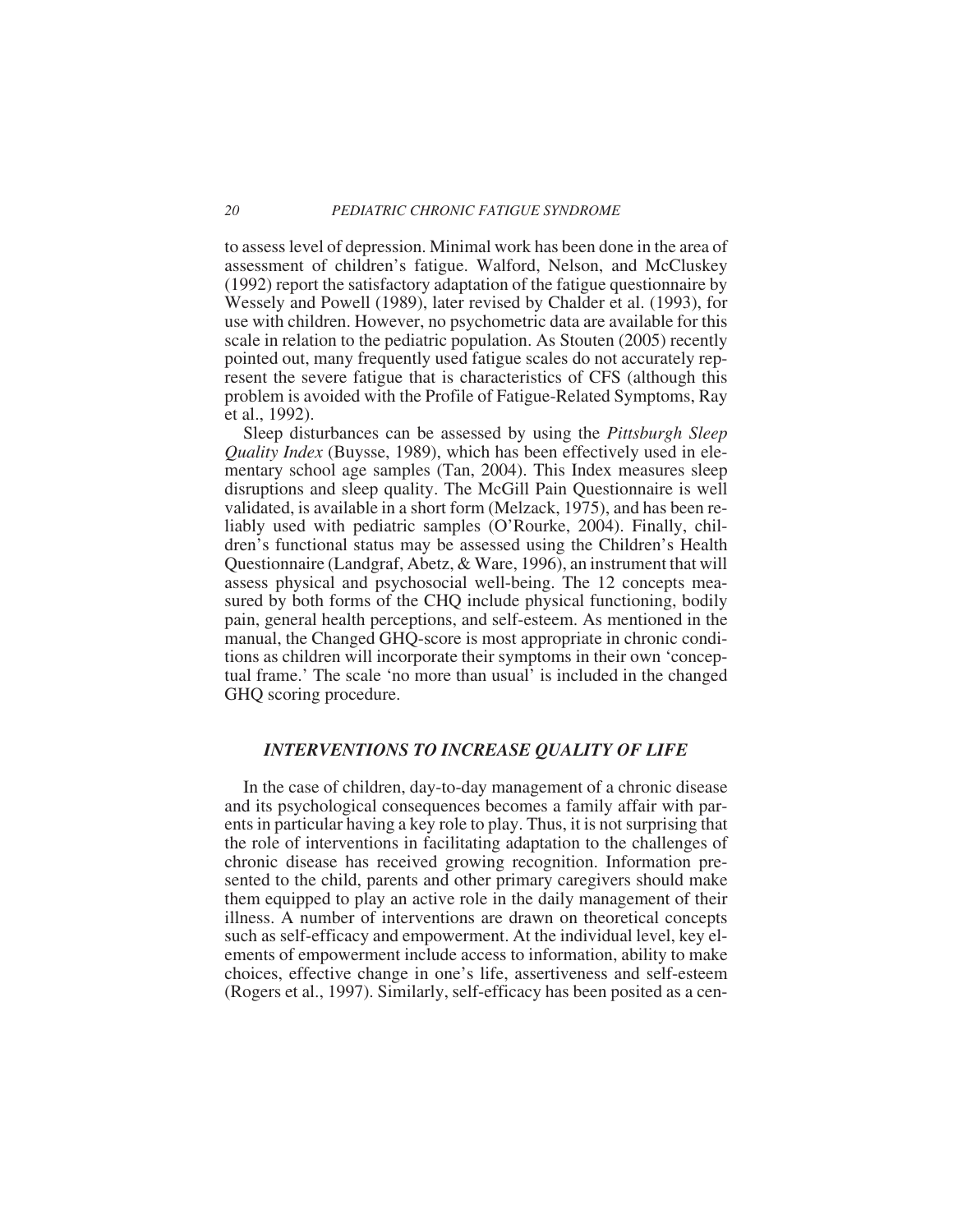to assess level of depression. Minimal work has been done in the area of assessment of children's fatigue. Walford, Nelson, and McCluskey (1992) report the satisfactory adaptation of the fatigue questionnaire by Wessely and Powell (1989), later revised by Chalder et al. (1993), for use with children. However, no psychometric data are available for this scale in relation to the pediatric population. As Stouten (2005) recently pointed out, many frequently used fatigue scales do not accurately represent the severe fatigue that is characteristics of CFS (although this problem is avoided with the Profile of Fatigue-Related Symptoms, Ray et al., 1992).

Sleep disturbances can be assessed by using the *Pittsburgh Sleep Quality Index* (Buysse, 1989), which has been effectively used in elementary school age samples (Tan, 2004). This Index measures sleep disruptions and sleep quality. The McGill Pain Questionnaire is well validated, is available in a short form (Melzack, 1975), and has been reliably used with pediatric samples (O'Rourke, 2004). Finally, children's functional status may be assessed using the Children's Health Questionnaire (Landgraf, Abetz, & Ware, 1996), an instrument that will assess physical and psychosocial well-being. The 12 concepts measured by both forms of the CHQ include physical functioning, bodily pain, general health perceptions, and self-esteem. As mentioned in the manual, the Changed GHQ-score is most appropriate in chronic conditions as children will incorporate their symptoms in their own 'conceptual frame.' The scale 'no more than usual' is included in the changed GHQ scoring procedure.

### *INTERVENTIONS TO INCREASE QUALITY OF LIFE*

In the case of children, day-to-day management of a chronic disease and its psychological consequences becomes a family affair with parents in particular having a key role to play. Thus, it is not surprising that the role of interventions in facilitating adaptation to the challenges of chronic disease has received growing recognition. Information presented to the child, parents and other primary caregivers should make them equipped to play an active role in the daily management of their illness. A number of interventions are drawn on theoretical concepts such as self-efficacy and empowerment. At the individual level, key elements of empowerment include access to information, ability to make choices, effective change in one's life, assertiveness and self-esteem (Rogers et al., 1997). Similarly, self-efficacy has been posited as a cen-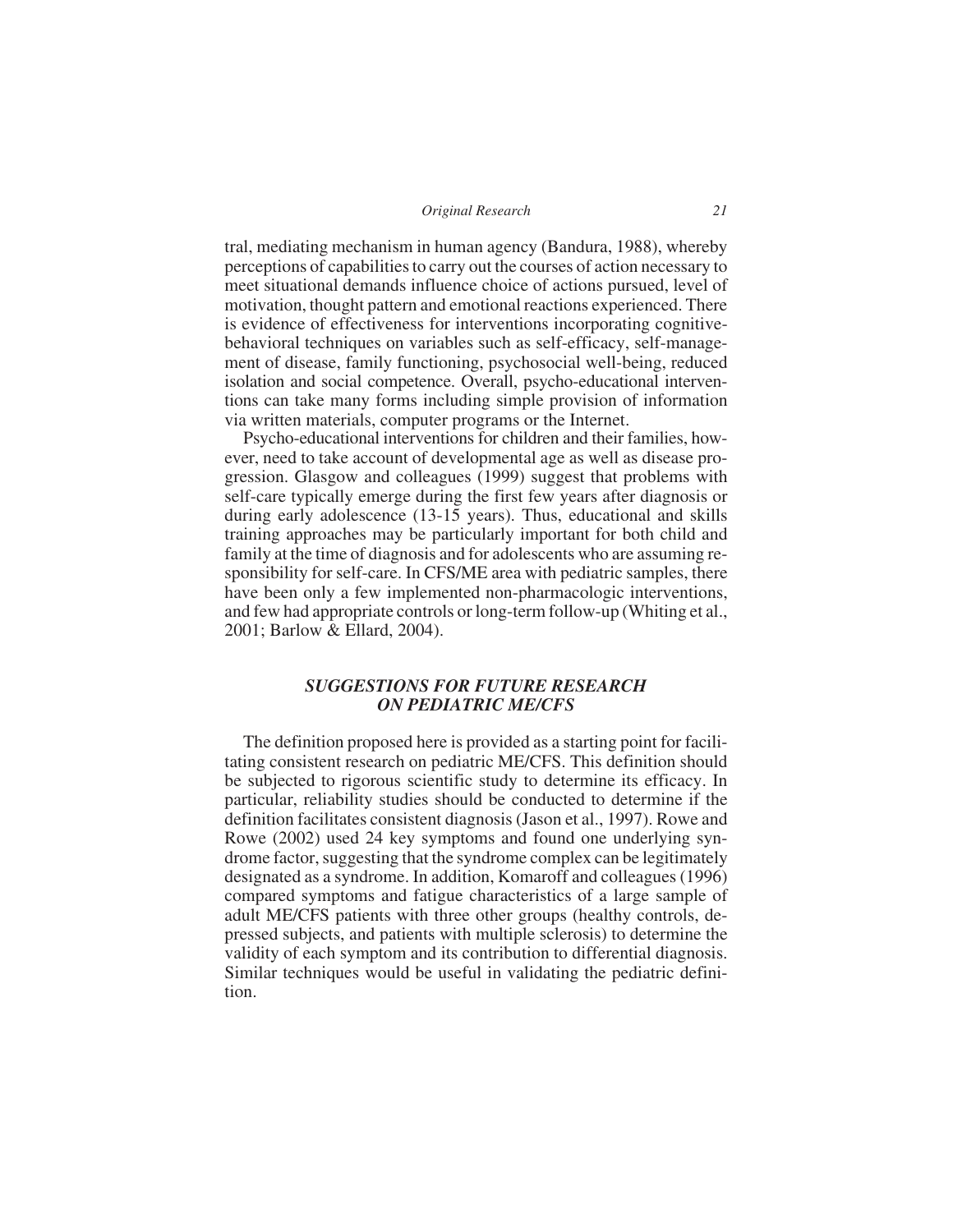tral, mediating mechanism in human agency (Bandura, 1988), whereby perceptions of capabilities to carry out the courses of action necessary to meet situational demands influence choice of actions pursued, level of motivation, thought pattern and emotional reactions experienced. There is evidence of effectiveness for interventions incorporating cognitivebehavioral techniques on variables such as self-efficacy, self-management of disease, family functioning, psychosocial well-being, reduced isolation and social competence. Overall, psycho-educational interventions can take many forms including simple provision of information via written materials, computer programs or the Internet.

Psycho-educational interventions for children and their families, however, need to take account of developmental age as well as disease progression. Glasgow and colleagues (1999) suggest that problems with self-care typically emerge during the first few years after diagnosis or during early adolescence (13-15 years). Thus, educational and skills training approaches may be particularly important for both child and family at the time of diagnosis and for adolescents who are assuming responsibility for self-care. In CFS/ME area with pediatric samples, there have been only a few implemented non-pharmacologic interventions, and few had appropriate controls or long-term follow-up (Whiting et al., 2001; Barlow & Ellard, 2004).

# *SUGGESTIONS FOR FUTURE RESEARCH ON PEDIATRIC ME/CFS*

The definition proposed here is provided as a starting point for facilitating consistent research on pediatric ME/CFS. This definition should be subjected to rigorous scientific study to determine its efficacy. In particular, reliability studies should be conducted to determine if the definition facilitates consistent diagnosis (Jason et al., 1997). Rowe and Rowe (2002) used 24 key symptoms and found one underlying syndrome factor, suggesting that the syndrome complex can be legitimately designated as a syndrome. In addition, Komaroff and colleagues (1996) compared symptoms and fatigue characteristics of a large sample of adult ME/CFS patients with three other groups (healthy controls, depressed subjects, and patients with multiple sclerosis) to determine the validity of each symptom and its contribution to differential diagnosis. Similar techniques would be useful in validating the pediatric definition.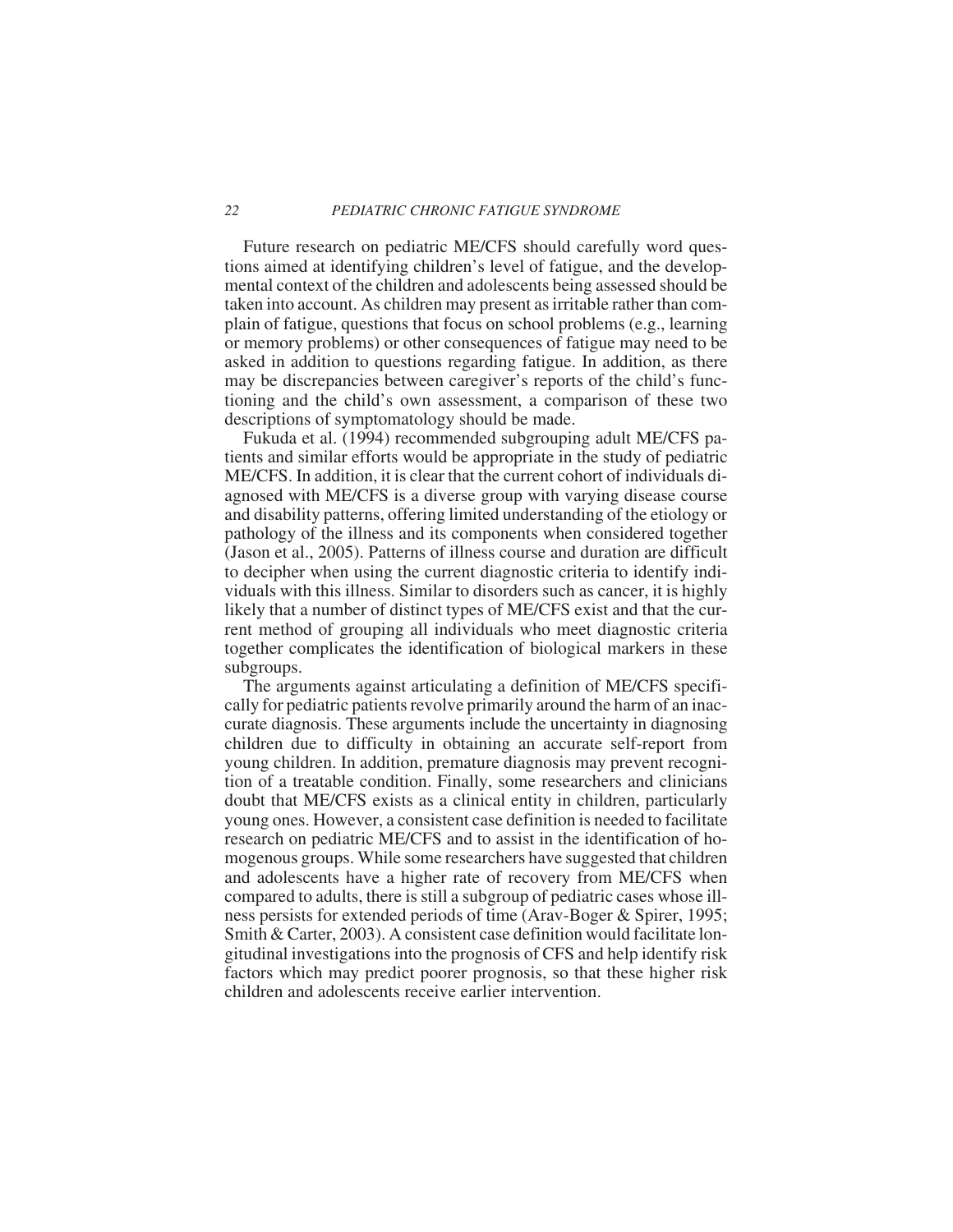Future research on pediatric ME/CFS should carefully word questions aimed at identifying children's level of fatigue, and the developmental context of the children and adolescents being assessed should be taken into account. As children may present as irritable rather than complain of fatigue, questions that focus on school problems (e.g., learning or memory problems) or other consequences of fatigue may need to be asked in addition to questions regarding fatigue. In addition, as there may be discrepancies between caregiver's reports of the child's functioning and the child's own assessment, a comparison of these two descriptions of symptomatology should be made.

Fukuda et al. (1994) recommended subgrouping adult ME/CFS patients and similar efforts would be appropriate in the study of pediatric ME/CFS. In addition, it is clear that the current cohort of individuals diagnosed with ME/CFS is a diverse group with varying disease course and disability patterns, offering limited understanding of the etiology or pathology of the illness and its components when considered together (Jason et al., 2005). Patterns of illness course and duration are difficult to decipher when using the current diagnostic criteria to identify individuals with this illness. Similar to disorders such as cancer, it is highly likely that a number of distinct types of ME/CFS exist and that the current method of grouping all individuals who meet diagnostic criteria together complicates the identification of biological markers in these subgroups.

The arguments against articulating a definition of ME/CFS specifically for pediatric patients revolve primarily around the harm of an inaccurate diagnosis. These arguments include the uncertainty in diagnosing children due to difficulty in obtaining an accurate self-report from young children. In addition, premature diagnosis may prevent recognition of a treatable condition. Finally, some researchers and clinicians doubt that ME/CFS exists as a clinical entity in children, particularly young ones. However, a consistent case definition is needed to facilitate research on pediatric ME/CFS and to assist in the identification of homogenous groups. While some researchers have suggested that children and adolescents have a higher rate of recovery from ME/CFS when compared to adults, there is still a subgroup of pediatric cases whose illness persists for extended periods of time (Arav-Boger & Spirer, 1995; Smith & Carter, 2003). A consistent case definition would facilitate longitudinal investigations into the prognosis of CFS and help identify risk factors which may predict poorer prognosis, so that these higher risk children and adolescents receive earlier intervention.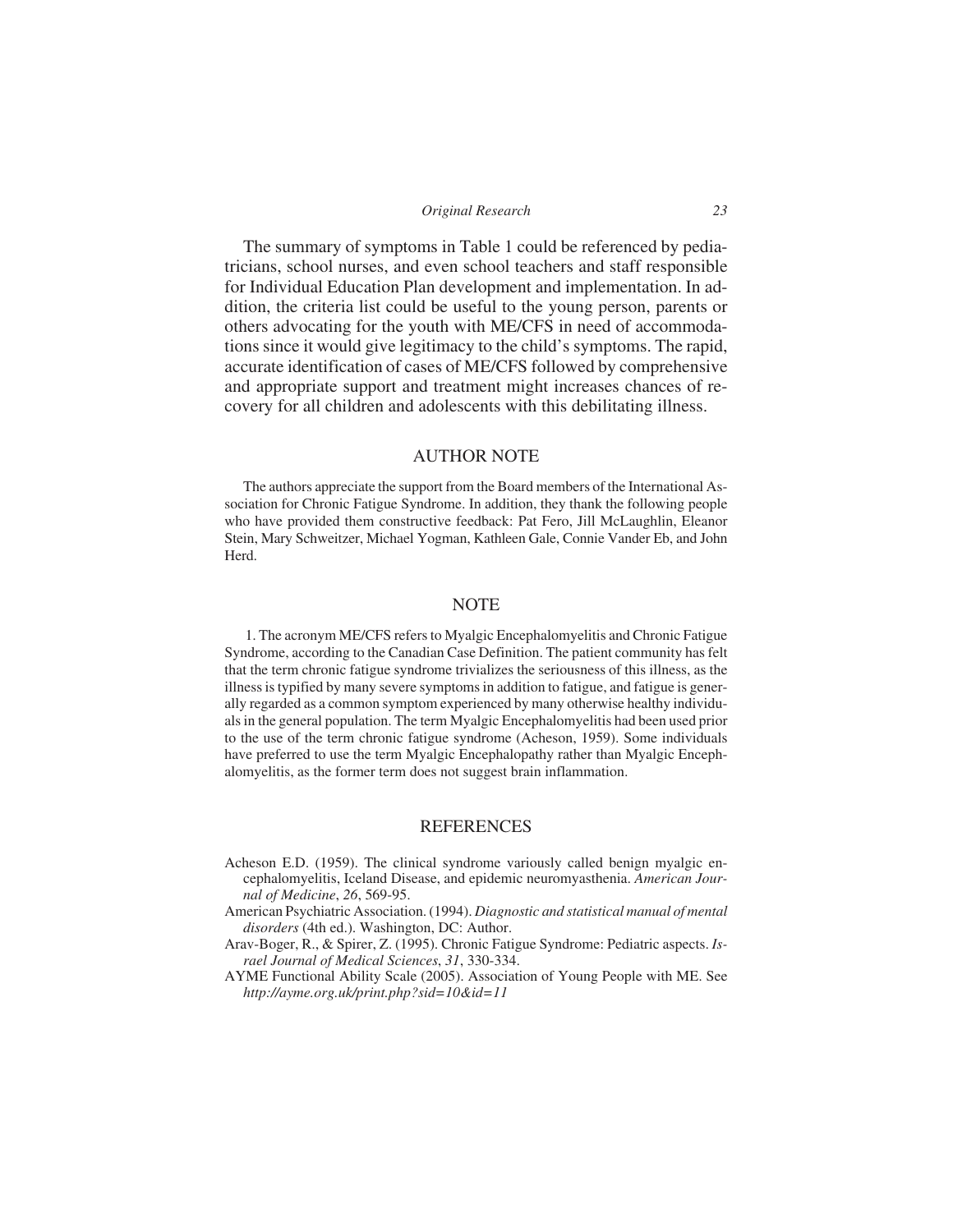The summary of symptoms in Table 1 could be referenced by pediatricians, school nurses, and even school teachers and staff responsible for Individual Education Plan development and implementation. In addition, the criteria list could be useful to the young person, parents or others advocating for the youth with ME/CFS in need of accommodations since it would give legitimacy to the child's symptoms. The rapid, accurate identification of cases of ME/CFS followed by comprehensive and appropriate support and treatment might increases chances of recovery for all children and adolescents with this debilitating illness.

## AUTHOR NOTE

The authors appreciate the support from the Board members of the International Association for Chronic Fatigue Syndrome. In addition, they thank the following people who have provided them constructive feedback: Pat Fero, Jill McLaughlin, Eleanor Stein, Mary Schweitzer, Michael Yogman, Kathleen Gale, Connie Vander Eb, and John Herd.

### NOTE

1. The acronym ME/CFS refers to Myalgic Encephalomyelitis and Chronic Fatigue Syndrome, according to the Canadian Case Definition. The patient community has felt that the term chronic fatigue syndrome trivializes the seriousness of this illness, as the illness is typified by many severe symptoms in addition to fatigue, and fatigue is generally regarded as a common symptom experienced by many otherwise healthy individuals in the general population. The term Myalgic Encephalomyelitis had been used prior to the use of the term chronic fatigue syndrome (Acheson, 1959). Some individuals have preferred to use the term Myalgic Encephalopathy rather than Myalgic Encephalomyelitis, as the former term does not suggest brain inflammation.

#### REFERENCES

- Acheson E.D. (1959). The clinical syndrome variously called benign myalgic encephalomyelitis, Iceland Disease, and epidemic neuromyasthenia. *American Journal of Medicine*, *26*, 569-95.
- American Psychiatric Association. (1994). *Diagnostic and statistical manual of mental disorders* (4th ed.). Washington, DC: Author.
- Arav-Boger, R., & Spirer, Z. (1995). Chronic Fatigue Syndrome: Pediatric aspects. *Israel Journal of Medical Sciences*, *31*, 330-334.
- AYME Functional Ability Scale (2005). Association of Young People with ME. See *<http://ayme.org.uk/print.php?sid=10&id=11>*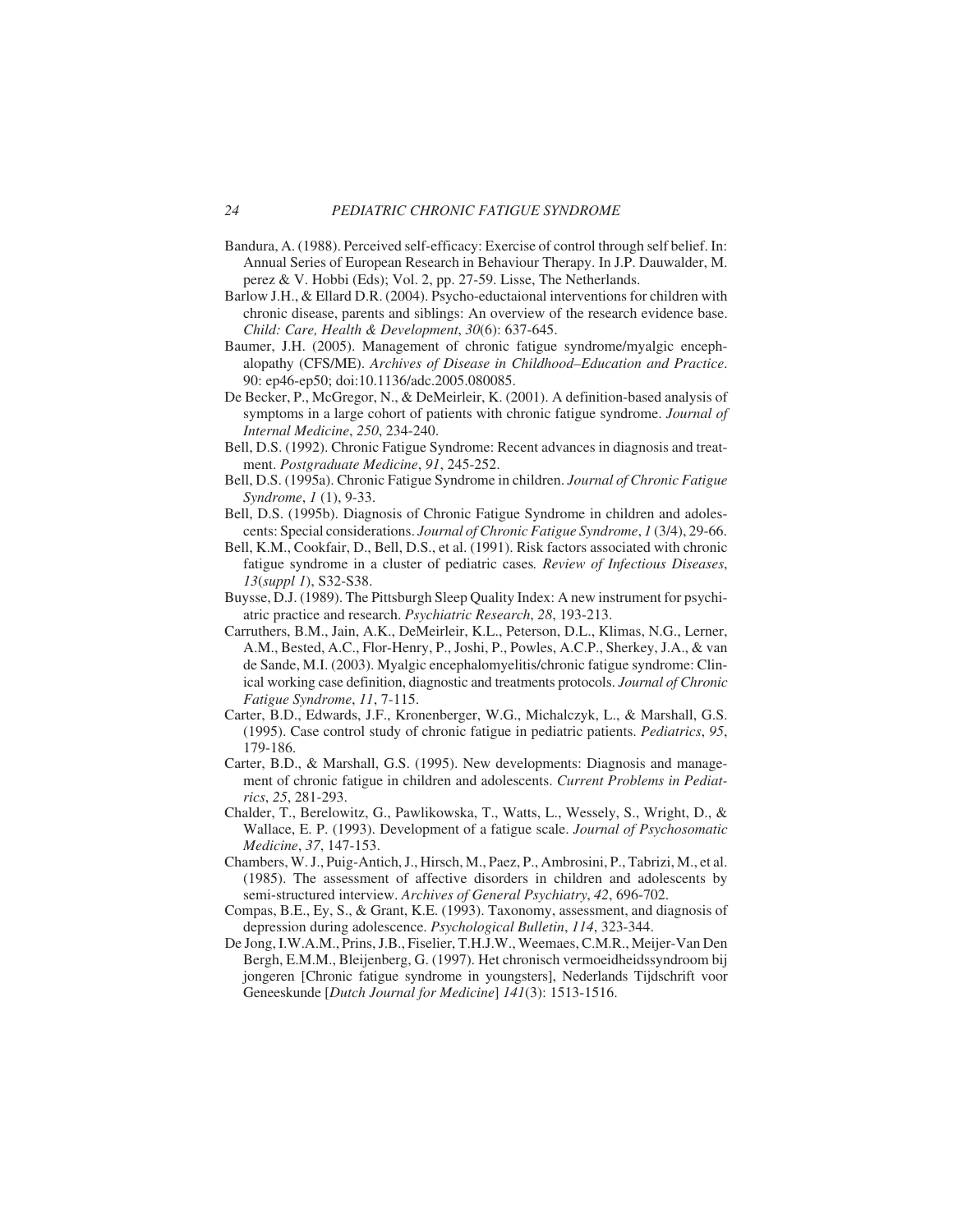- Bandura, A. (1988). Perceived self-efficacy: Exercise of control through self belief. In: Annual Series of European Research in Behaviour Therapy. In J.P. Dauwalder, M. perez & V. Hobbi (Eds); Vol. 2, pp. 27-59. Lisse, The Netherlands.
- Barlow J.H., & Ellard D.R. (2004). Psycho-eductaional interventions for children with chronic disease, parents and siblings: An overview of the research evidence base. *Child: Care, Health & Development*, *30*(6): 637-645.
- Baumer, J.H. (2005). Management of chronic fatigue syndrome/myalgic encephalopathy (CFS/ME). *Archives of Disease in Childhood–Education and Practice*. 90: ep46-ep50; doi:10.1136/adc.2005.080085.
- De Becker, P., McGregor, N., & DeMeirleir, K. (2001). A definition-based analysis of symptoms in a large cohort of patients with chronic fatigue syndrome. *Journal of Internal Medicine*, *250*, 234-240.
- Bell, D.S. (1992). Chronic Fatigue Syndrome: Recent advances in diagnosis and treatment. *Postgraduate Medicine*, *91*, 245-252.
- Bell, D.S. (1995a). Chronic Fatigue Syndrome in children. *Journal of Chronic Fatigue Syndrome*, *1* (1), 9-33.
- Bell, D.S. (1995b). Diagnosis of Chronic Fatigue Syndrome in children and adolescents: Special considerations. *Journal of Chronic Fatigue Syndrome*, *1* (3/4), 29-66.
- Bell, K.M., Cookfair, D., Bell, D.S., et al. (1991). Risk factors associated with chronic fatigue syndrome in a cluster of pediatric cases*. Review of Infectious Diseases*, *13*(*suppl 1*), S32-S38.
- Buysse, D.J. (1989). The Pittsburgh Sleep Quality Index: A new instrument for psychiatric practice and research. *Psychiatric Research*, *28*, 193-213.
- Carruthers, B.M., Jain, A.K., DeMeirleir, K.L., Peterson, D.L., Klimas, N.G., Lerner, A.M., Bested, A.C., Flor-Henry, P., Joshi, P., Powles, A.C.P., Sherkey, J.A., & van de Sande, M.I. (2003). Myalgic encephalomyelitis/chronic fatigue syndrome: Clinical working case definition, diagnostic and treatments protocols. *Journal of Chronic Fatigue Syndrome*, *11*, 7-115.
- Carter, B.D., Edwards, J.F., Kronenberger, W.G., Michalczyk, L., & Marshall, G.S. (1995). Case control study of chronic fatigue in pediatric patients. *Pediatrics*, *95*, 179-186.
- Carter, B.D., & Marshall, G.S. (1995). New developments: Diagnosis and management of chronic fatigue in children and adolescents. *Current Problems in Pediatrics*, *25*, 281-293.
- Chalder, T., Berelowitz, G., Pawlikowska, T., Watts, L., Wessely, S., Wright, D., & Wallace, E. P. (1993). Development of a fatigue scale. *Journal of Psychosomatic Medicine*, *37*, 147-153.
- Chambers, W. J., Puig-Antich, J., Hirsch, M., Paez, P., Ambrosini, P., Tabrizi, M., et al. (1985). The assessment of affective disorders in children and adolescents by semi-structured interview. *Archives of General Psychiatry*, *42*, 696-702.
- Compas, B.E., Ey, S., & Grant, K.E. (1993). Taxonomy, assessment, and diagnosis of depression during adolescence. *Psychological Bulletin*, *114*, 323-344.
- De Jong, I.W.A.M., Prins, J.B., Fiselier, T.H.J.W., Weemaes, C.M.R., Meijer-Van Den Bergh, E.M.M., Bleijenberg, G. (1997). Het chronisch vermoeidheidssyndroom bij jongeren [Chronic fatigue syndrome in youngsters], Nederlands Tijdschrift voor Geneeskunde [*Dutch Journal for Medicine*] *141*(3): 1513-1516.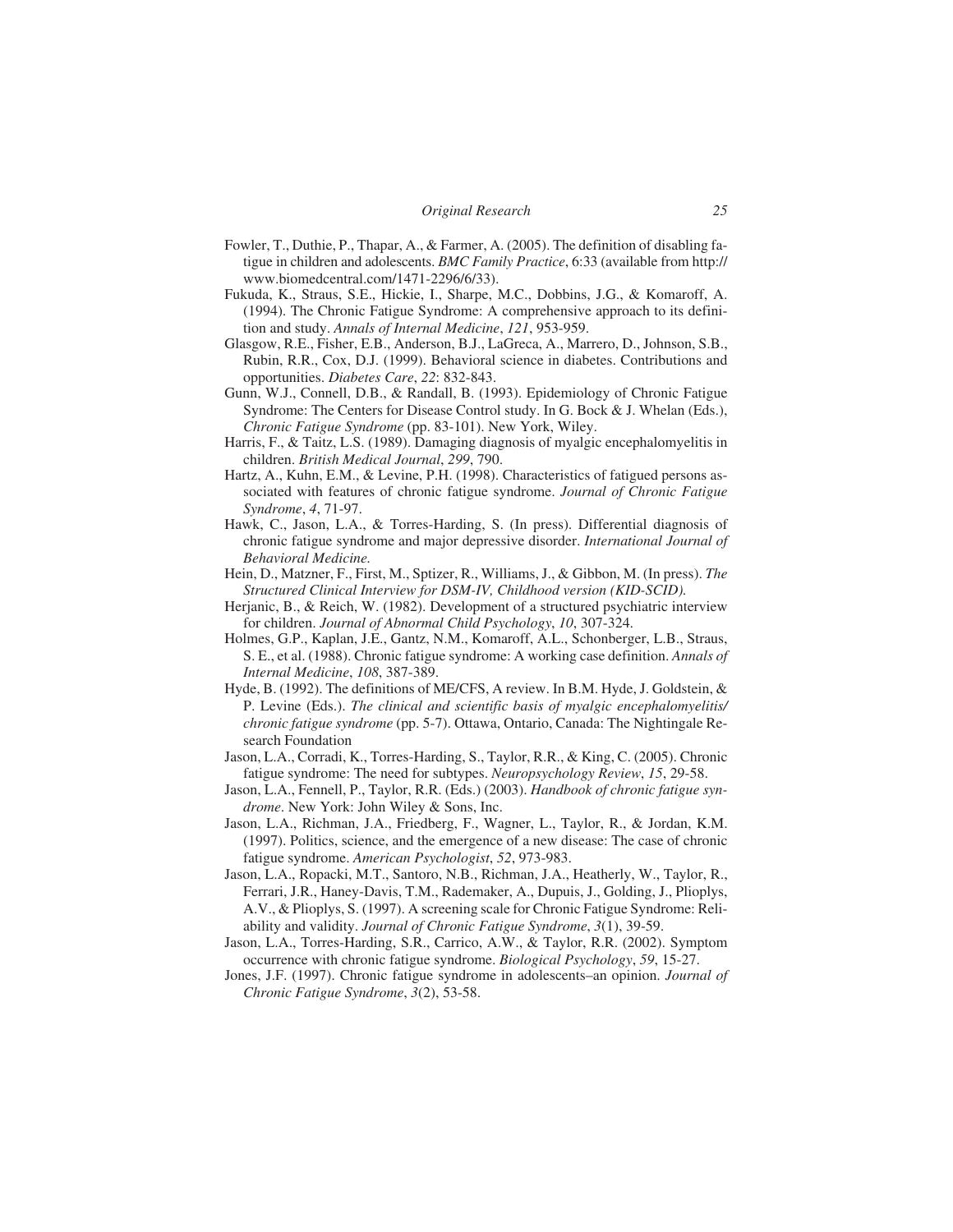- Fowler, T., Duthie, P., Thapar, A., & Farmer, A. (2005). The definition of disabling fatigue in children and adolescents. *BMC Family Practice*, 6:33 (available from [http://](http://www.biomedcentral.com/1471-2296/6/33) [www.biomedcentral.com/1471-2296/6/33\).](http://www.biomedcentral.com/1471-2296/6/33)
- Fukuda, K., Straus, S.E., Hickie, I., Sharpe, M.C., Dobbins, J.G., & Komaroff, A. (1994). The Chronic Fatigue Syndrome: A comprehensive approach to its definition and study. *Annals of Internal Medicine*, *121*, 953-959.
- Glasgow, R.E., Fisher, E.B., Anderson, B.J., LaGreca, A., Marrero, D., Johnson, S.B., Rubin, R.R., Cox, D.J. (1999). Behavioral science in diabetes. Contributions and opportunities. *Diabetes Care*, *22*: 832-843.
- Gunn, W.J., Connell, D.B., & Randall, B. (1993). Epidemiology of Chronic Fatigue Syndrome: The Centers for Disease Control study. In G. Bock & J. Whelan (Eds.), *Chronic Fatigue Syndrome* (pp. 83-101). New York, Wiley.
- Harris, F., & Taitz, L.S. (1989). Damaging diagnosis of myalgic encephalomyelitis in children. *British Medical Journal*, *299*, 790.
- Hartz, A., Kuhn, E.M., & Levine, P.H. (1998). Characteristics of fatigued persons associated with features of chronic fatigue syndrome. *Journal of Chronic Fatigue Syndrome*, *4*, 71-97.
- Hawk, C., Jason, L.A., & Torres-Harding, S. (In press). Differential diagnosis of chronic fatigue syndrome and major depressive disorder. *International Journal of Behavioral Medicine.*
- Hein, D., Matzner, F., First, M., Sptizer, R., Williams, J., & Gibbon, M. (In press). *The Structured Clinical Interview for DSM-IV, Childhood version (KID-SCID).*
- Herjanic, B., & Reich, W. (1982). Development of a structured psychiatric interview for children. *Journal of Abnormal Child Psychology*, *10*, 307-324.
- Holmes, G.P., Kaplan, J.E., Gantz, N.M., Komaroff, A.L., Schonberger, L.B., Straus, S. E., et al. (1988). Chronic fatigue syndrome: A working case definition. *Annals of Internal Medicine*, *108*, 387-389.
- Hyde, B. (1992). The definitions of ME/CFS, A review. In B.M. Hyde, J. Goldstein, & P. Levine (Eds.). *The clinical and scientific basis of myalgic encephalomyelitis/ chronic fatigue syndrome* (pp. 5-7). Ottawa, Ontario, Canada: The Nightingale Research Foundation
- Jason, L.A., Corradi, K., Torres-Harding, S., Taylor, R.R., & King, C. (2005). Chronic fatigue syndrome: The need for subtypes. *Neuropsychology Review*, *15*, 29-58.
- Jason, L.A., Fennell, P., Taylor, R.R. (Eds.) (2003). *Handbook of chronic fatigue syndrome*. New York: John Wiley & Sons, Inc.
- Jason, L.A., Richman, J.A., Friedberg, F., Wagner, L., Taylor, R., & Jordan, K.M. (1997). Politics, science, and the emergence of a new disease: The case of chronic fatigue syndrome. *American Psychologist*, *52*, 973-983.
- Jason, L.A., Ropacki, M.T., Santoro, N.B., Richman, J.A., Heatherly, W., Taylor, R., Ferrari, J.R., Haney-Davis, T.M., Rademaker, A., Dupuis, J., Golding, J., Plioplys, A.V., & Plioplys, S. (1997). A screening scale for Chronic Fatigue Syndrome: Reliability and validity. *Journal of Chronic Fatigue Syndrome*, *3*(1), 39-59.
- Jason, L.A., Torres-Harding, S.R., Carrico, A.W., & Taylor, R.R. (2002). Symptom occurrence with chronic fatigue syndrome. *Biological Psychology*, *59*, 15-27.
- Jones, J.F. (1997). Chronic fatigue syndrome in adolescents–an opinion. *Journal of Chronic Fatigue Syndrome*, *3*(2), 53-58.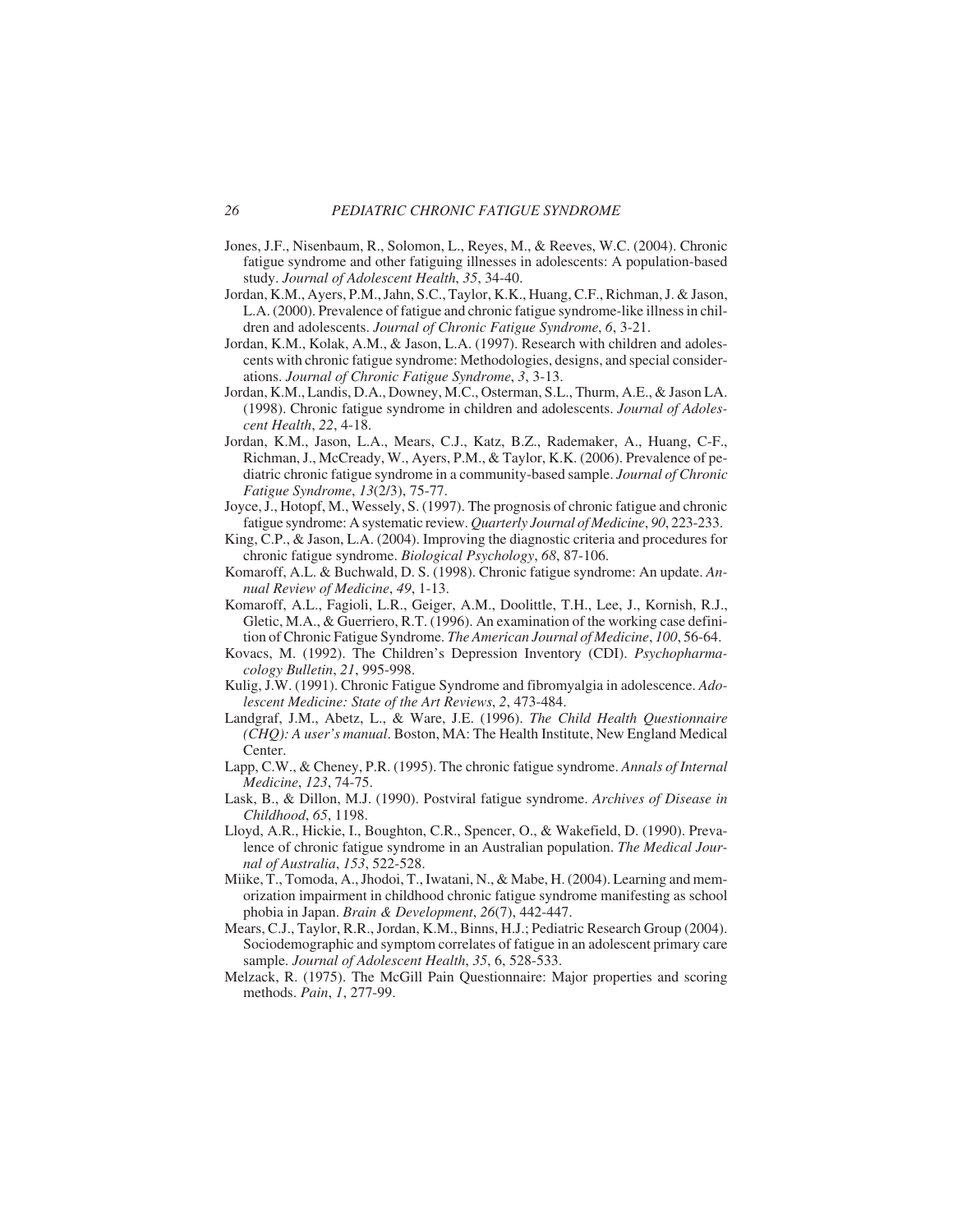- Jones, J.F., Nisenbaum, R., Solomon, L., Reyes, M., & Reeves, W.C. (2004). Chronic fatigue syndrome and other fatiguing illnesses in adolescents: A population-based study. *Journal of Adolescent Health*, *35*, 34-40.
- Jordan, K.M., Ayers, P.M., Jahn, S.C., Taylor, K.K., Huang, C.F., Richman, J. & Jason, L.A. (2000). Prevalence of fatigue and chronic fatigue syndrome-like illness in children and adolescents. *Journal of Chronic Fatigue Syndrome*, *6*, 3-21.
- Jordan, K.M., Kolak, A.M., & Jason, L.A. (1997). Research with children and adolescents with chronic fatigue syndrome: Methodologies, designs, and special considerations. *Journal of Chronic Fatigue Syndrome*, *3*, 3-13.
- Jordan, K.M., Landis, D.A., Downey, M.C., Osterman, S.L., Thurm, A.E., & Jason LA. (1998). Chronic fatigue syndrome in children and adolescents. *Journal of Adolescent Health*, *22*, 4-18.
- Jordan, K.M., Jason, L.A., Mears, C.J., Katz, B.Z., Rademaker, A., Huang, C-F., Richman, J., McCready, W., Ayers, P.M., & Taylor, K.K. (2006). Prevalence of pediatric chronic fatigue syndrome in a community-based sample. *Journal of Chronic Fatigue Syndrome*, *13*(2/3), 75-77.
- Joyce, J., Hotopf, M., Wessely, S. (1997). The prognosis of chronic fatigue and chronic fatigue syndrome: A systematic review. *Quarterly Journal of Medicine*, *90*, 223-233.
- King, C.P., & Jason, L.A. (2004). Improving the diagnostic criteria and procedures for chronic fatigue syndrome. *Biological Psychology*, *68*, 87-106.
- Komaroff, A.L. & Buchwald, D. S. (1998). Chronic fatigue syndrome: An update. *Annual Review of Medicine*, *49*, 1-13.
- Komaroff, A.L., Fagioli, L.R., Geiger, A.M., Doolittle, T.H., Lee, J., Kornish, R.J., Gletic, M.A., & Guerriero, R.T. (1996). An examination of the working case definition of Chronic Fatigue Syndrome. *The American Journal of Medicine*, *100*, 56-64.
- Kovacs, M. (1992). The Children's Depression Inventory (CDI). *Psychopharmacology Bulletin*, *21*, 995-998.
- Kulig, J.W. (1991). Chronic Fatigue Syndrome and fibromyalgia in adolescence. *Adolescent Medicine: State of the Art Reviews*, *2*, 473-484.
- Landgraf, J.M., Abetz, L., & Ware, J.E. (1996). *The Child Health Questionnaire (CHQ): A user's manual*. Boston, MA: The Health Institute, New England Medical Center.
- Lapp, C.W., & Cheney, P.R. (1995). The chronic fatigue syndrome. *Annals of Internal Medicine*, *123*, 74-75.
- Lask, B., & Dillon, M.J. (1990). Postviral fatigue syndrome. *Archives of Disease in Childhood*, *65*, 1198.
- Lloyd, A.R., Hickie, I., Boughton, C.R., Spencer, O., & Wakefield, D. (1990). Prevalence of chronic fatigue syndrome in an Australian population. *The Medical Journal of Australia*, *153*, 522-528.
- Miike, T., Tomoda, A., Jhodoi, T., Iwatani, N., & Mabe, H. (2004). Learning and memorization impairment in childhood chronic fatigue syndrome manifesting as school phobia in Japan. *Brain & Development*, *26*(7), 442-447.
- Mears, C.J., Taylor, R.R., Jordan, K.M., Binns, H.J.; Pediatric Research Group (2004). Sociodemographic and symptom correlates of fatigue in an adolescent primary care sample. *Journal of Adolescent Health*, *35*, 6, 528-533.
- Melzack, R. (1975). The McGill Pain Questionnaire: Major properties and scoring methods. *Pain*, *1*, 277-99.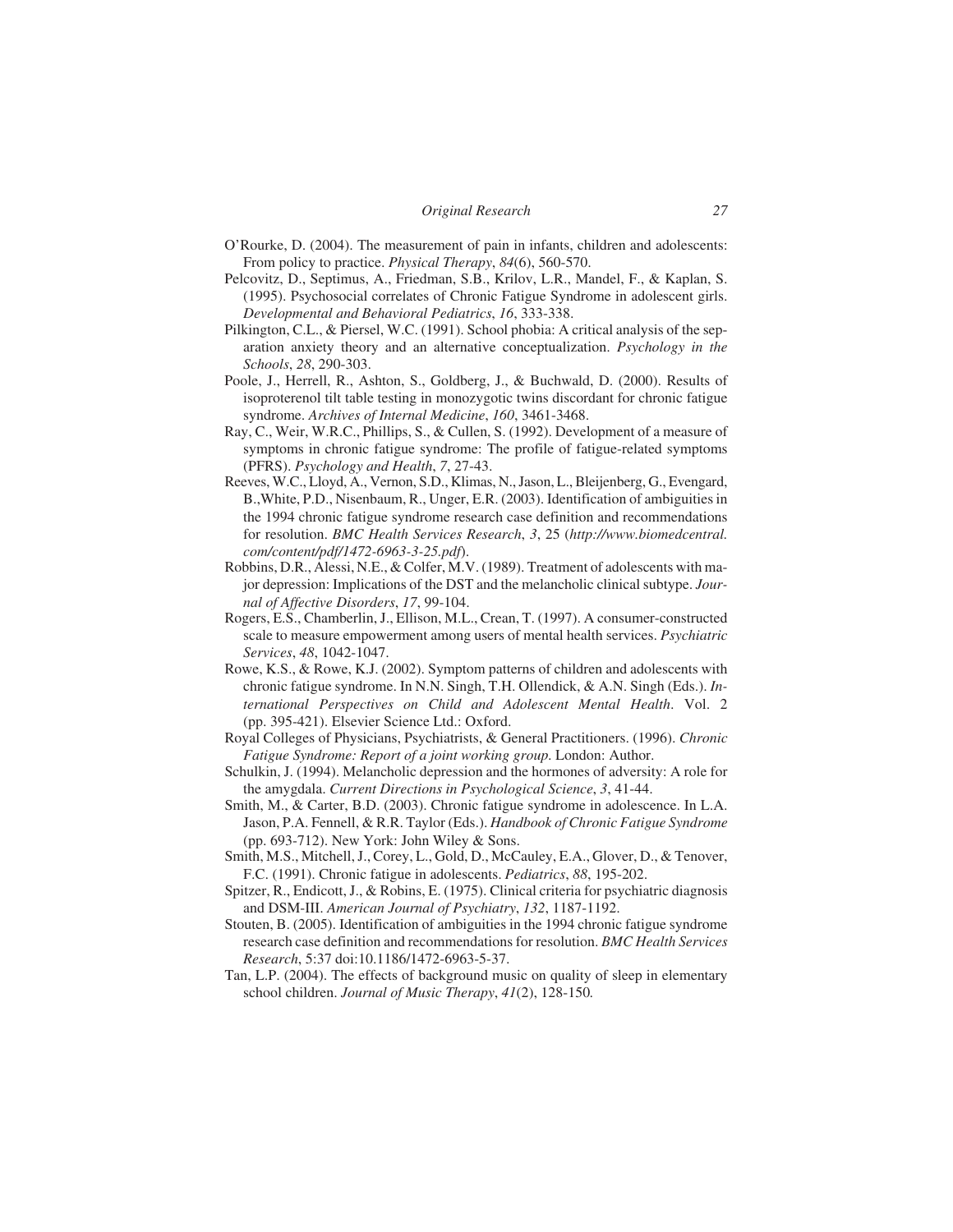| Original Research |  |
|-------------------|--|
|-------------------|--|

- O'Rourke, D. (2004). The measurement of pain in infants, children and adolescents: From policy to practice. *Physical Therapy*, *84*(6), 560-570.
- Pelcovitz, D., Septimus, A., Friedman, S.B., Krilov, L.R., Mandel, F., & Kaplan, S. (1995). Psychosocial correlates of Chronic Fatigue Syndrome in adolescent girls. *Developmental and Behavioral Pediatrics*, *16*, 333-338.
- Pilkington, C.L., & Piersel, W.C. (1991). School phobia: A critical analysis of the separation anxiety theory and an alternative conceptualization. *Psychology in the Schools*, *28*, 290-303.
- Poole, J., Herrell, R., Ashton, S., Goldberg, J., & Buchwald, D. (2000). Results of isoproterenol tilt table testing in monozygotic twins discordant for chronic fatigue syndrome. *Archives of Internal Medicine*, *160*, 3461-3468.
- Ray, C., Weir, W.R.C., Phillips, S., & Cullen, S. (1992). Development of a measure of symptoms in chronic fatigue syndrome: The profile of fatigue-related symptoms (PFRS). *Psychology and Health*, *7*, 27-43.
- Reeves, W.C., Lloyd, A., Vernon, S.D., Klimas, N., Jason, L., Bleijenberg, G., Evengard, B.,White, P.D., Nisenbaum, R., Unger, E.R. (2003). Identification of ambiguities in the 1994 chronic fatigue syndrome research case definition and recommendations for resolution. *BMC Health Services Research*, *3*, 25 (*[http://www.biomedcentral.](http://www.biomedcentral.com/content/pdf/1472-6963-3-25.pdf) [com/content/pdf/1472-6963-3-25.pdf](http://www.biomedcentral.com/content/pdf/1472-6963-3-25.pdf)*).
- Robbins, D.R., Alessi, N.E., & Colfer, M.V. (1989). Treatment of adolescents with major depression: Implications of the DST and the melancholic clinical subtype. *Journal of Affective Disorders*, *17*, 99-104.
- Rogers, E.S., Chamberlin, J., Ellison, M.L., Crean, T. (1997). A consumer-constructed scale to measure empowerment among users of mental health services. *Psychiatric Services*, *48*, 1042-1047.
- Rowe, K.S., & Rowe, K.J. (2002). Symptom patterns of children and adolescents with chronic fatigue syndrome. In N.N. Singh, T.H. Ollendick, & A.N. Singh (Eds.). *International Perspectives on Child and Adolescent Mental Health*. Vol. 2 (pp. 395-421). Elsevier Science Ltd.: Oxford.
- Royal Colleges of Physicians, Psychiatrists, & General Practitioners. (1996). *Chronic Fatigue Syndrome: Report of a joint working group*. London: Author.
- Schulkin, J. (1994). Melancholic depression and the hormones of adversity: A role for the amygdala. *Current Directions in Psychological Science*, *3*, 41-44.
- Smith, M., & Carter, B.D. (2003). Chronic fatigue syndrome in adolescence. In L.A. Jason, P.A. Fennell, & R.R. Taylor (Eds.). *Handbook of Chronic Fatigue Syndrome* (pp. 693-712). New York: John Wiley & Sons.
- Smith, M.S., Mitchell, J., Corey, L., Gold, D., McCauley, E.A., Glover, D., & Tenover, F.C. (1991). Chronic fatigue in adolescents. *Pediatrics*, *88*, 195-202.
- Spitzer, R., Endicott, J., & Robins, E. (1975). Clinical criteria for psychiatric diagnosis and DSM-III. *American Journal of Psychiatry*, *132*, 1187-1192.
- Stouten, B. (2005). Identification of ambiguities in the 1994 chronic fatigue syndrome research case definition and recommendations for resolution. *BMC Health Services Research*, 5:37 doi:10.1186/1472-6963-5-37.
- Tan, L.P. (2004). The effects of background music on quality of sleep in elementary school children. *Journal of Music Therapy*, *41*(2), 128-150*.*